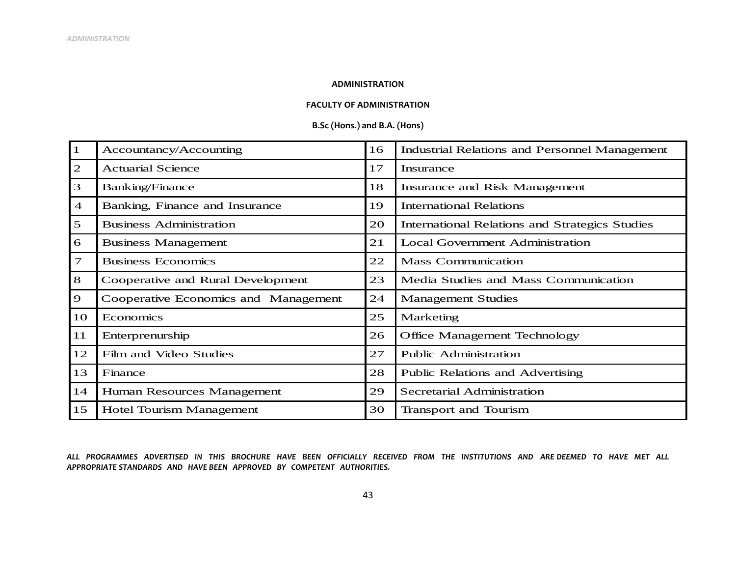## **ADMINISTRATION**

## **FACULTY OF ADMINISTRATION**

## **B.Sc (Hons.) and B.A. (Hons)**

| $\mathbf{1}$             | Accountancy/Accounting               | 16 | <b>Industrial Relations and Personnel Management</b>  |
|--------------------------|--------------------------------------|----|-------------------------------------------------------|
| $\mathfrak{D}$           | <b>Actuarial Science</b>             | 17 | Insurance                                             |
| 3                        | <b>Banking/Finance</b>               | 18 | Insurance and Risk Management                         |
| $\overline{\mathcal{A}}$ | Banking, Finance and Insurance       | 19 | <b>International Relations</b>                        |
| 5                        | <b>Business Administration</b>       | 20 | <b>International Relations and Strategics Studies</b> |
| 6                        | <b>Business Management</b>           | 21 | <b>Local Government Administration</b>                |
| 7                        | <b>Business Economics</b>            | 22 | <b>Mass Communication</b>                             |
| 8                        | Cooperative and Rural Development    | 23 | Media Studies and Mass Communication                  |
| 9                        | Cooperative Economics and Management | 24 | <b>Management Studies</b>                             |
| 10                       | Economics                            | 25 | Marketing                                             |
| 11                       | Enterprenurship                      | 26 | Office Management Technology                          |
| 12                       | Film and Video Studies               | 27 | <b>Public Administration</b>                          |
| 13                       | Finance                              | 28 | Public Relations and Advertising                      |
| 14                       | Human Resources Management           | 29 | Secretarial Administration                            |
| 15                       | Hotel Tourism Management             | 30 | <b>Transport and Tourism</b>                          |

*ALL PROGRAMMES ADVERTISED IN THIS BROCHURE HAVE BEEN OFFICIALLY RECEIVED FROM THE INSTITUTIONS AND ARE DEEMED TO HAVE MET ALL APPROPRIATE STANDARDS AND HAVE BEEN APPROVED BY COMPETENT AUTHORITIES.*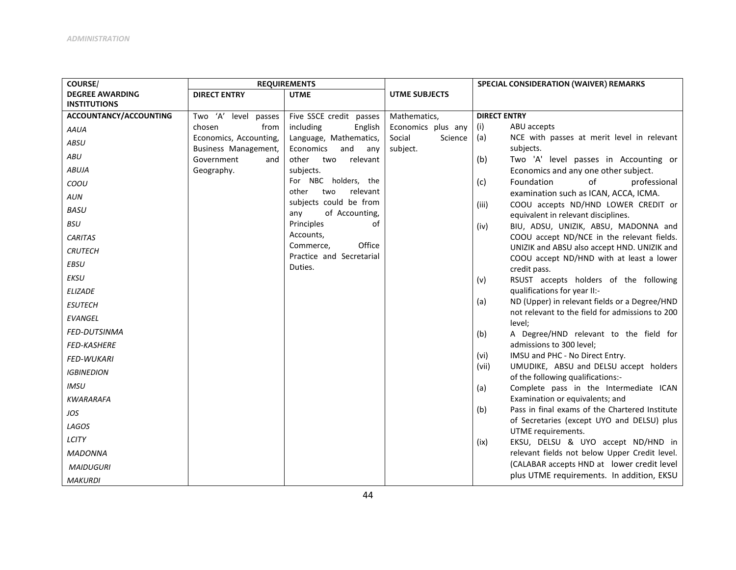| <b>COURSE/</b>         |                                           | <b>REQUIREMENTS</b>                                 |                      | SPECIAL CONSIDERATION (WAIVER) REMARKS                                                |
|------------------------|-------------------------------------------|-----------------------------------------------------|----------------------|---------------------------------------------------------------------------------------|
| <b>DEGREE AWARDING</b> | <b>DIRECT ENTRY</b>                       | <b>UTME</b>                                         | <b>UTME SUBJECTS</b> |                                                                                       |
| <b>INSTITUTIONS</b>    |                                           |                                                     |                      |                                                                                       |
| ACCOUNTANCY/ACCOUNTING | Two 'A' level passes                      | Five SSCE credit passes                             | Mathematics,         | <b>DIRECT ENTRY</b>                                                                   |
| <b>AAUA</b>            | chosen<br>from                            | including<br>English                                | Economics plus any   | ABU accepts<br>(i)                                                                    |
| <b>ABSU</b>            | Economics, Accounting,                    | Language, Mathematics,                              | Social<br>Science    | NCE with passes at merit level in relevant<br>(a)<br>subjects.                        |
| <b>ABU</b>             | Business Management,<br>Government<br>and | Economics<br>and<br>any<br>other<br>relevant<br>two | subject.             | Two 'A' level passes in Accounting or<br>(b)                                          |
| <b>ABUJA</b>           | Geography.                                | subjects.                                           |                      | Economics and any one other subject.                                                  |
| COOU                   |                                           | For NBC holders, the<br>relevant<br>other<br>two    |                      | Foundation<br>professional<br>(c)<br>οf                                               |
| AUN                    |                                           | subjects could be from                              |                      | examination such as ICAN, ACCA, ICMA.<br>COOU accepts ND/HND LOWER CREDIT or<br>(iii) |
| <b>BASU</b>            |                                           | of Accounting,<br>any                               |                      | equivalent in relevant disciplines.                                                   |
| <b>BSU</b>             |                                           | Principles<br>οf                                    |                      | BIU, ADSU, UNIZIK, ABSU, MADONNA and<br>(iv)                                          |
| <b>CARITAS</b>         |                                           | Accounts,                                           |                      | COOU accept ND/NCE in the relevant fields.                                            |
| <b>CRUTECH</b>         |                                           | Office<br>Commerce,<br>Practice and Secretarial     |                      | UNIZIK and ABSU also accept HND. UNIZIK and                                           |
| EBSU                   |                                           | Duties.                                             |                      | COOU accept ND/HND with at least a lower<br>credit pass.                              |
| <b>EKSU</b>            |                                           |                                                     |                      | RSUST accepts holders of the following<br>(v)                                         |
| <b>ELIZADE</b>         |                                           |                                                     |                      | qualifications for year II:-                                                          |
| <b>ESUTECH</b>         |                                           |                                                     |                      | ND (Upper) in relevant fields or a Degree/HND<br>(a)                                  |
| <b>EVANGEL</b>         |                                           |                                                     |                      | not relevant to the field for admissions to 200<br>level;                             |
| <b>FED-DUTSINMA</b>    |                                           |                                                     |                      | A Degree/HND relevant to the field for<br>(b)                                         |
| <b>FED-KASHERE</b>     |                                           |                                                     |                      | admissions to 300 level;                                                              |
| <b>FED-WUKARI</b>      |                                           |                                                     |                      | IMSU and PHC - No Direct Entry.<br>(vi)                                               |
| <b>IGBINEDION</b>      |                                           |                                                     |                      | UMUDIKE, ABSU and DELSU accept holders<br>(vii)<br>of the following qualifications:-  |
| <b>IMSU</b>            |                                           |                                                     |                      | Complete pass in the Intermediate ICAN<br>(a)                                         |
| <b>KWARARAFA</b>       |                                           |                                                     |                      | Examination or equivalents; and                                                       |
| JOS                    |                                           |                                                     |                      | Pass in final exams of the Chartered Institute<br>(b)                                 |
| LAGOS                  |                                           |                                                     |                      | of Secretaries (except UYO and DELSU) plus<br>UTME requirements.                      |
| LCITY                  |                                           |                                                     |                      | EKSU, DELSU & UYO accept ND/HND in<br>(ix)                                            |
| <b>MADONNA</b>         |                                           |                                                     |                      | relevant fields not below Upper Credit level.                                         |
| <b>MAIDUGURI</b>       |                                           |                                                     |                      | (CALABAR accepts HND at lower credit level                                            |
| <b>MAKURDI</b>         |                                           |                                                     |                      | plus UTME requirements. In addition, EKSU                                             |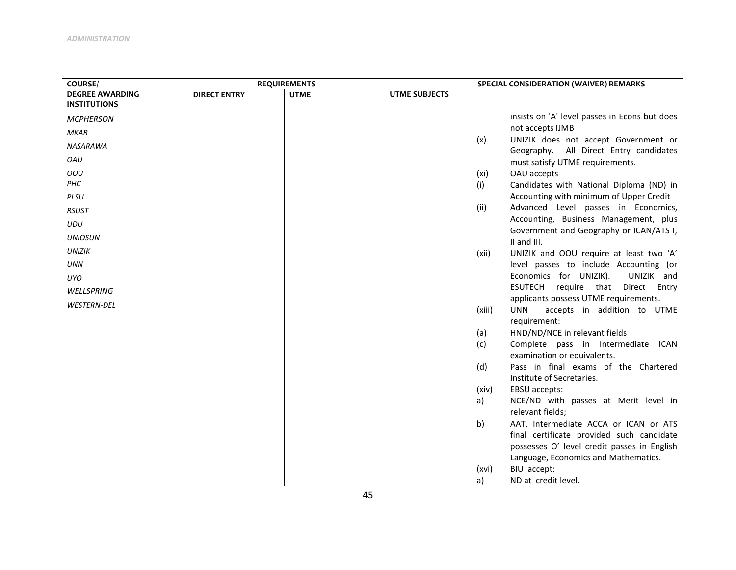| COURSE/                |                     | <b>REQUIREMENTS</b> |                      | SPECIAL CONSIDERATION (WAIVER) REMARKS                                    |
|------------------------|---------------------|---------------------|----------------------|---------------------------------------------------------------------------|
| <b>DEGREE AWARDING</b> | <b>DIRECT ENTRY</b> | <b>UTME</b>         | <b>UTME SUBJECTS</b> |                                                                           |
| <b>INSTITUTIONS</b>    |                     |                     |                      |                                                                           |
| <b>MCPHERSON</b>       |                     |                     |                      | insists on 'A' level passes in Econs but does                             |
| <b>MKAR</b>            |                     |                     |                      | not accepts IJMB                                                          |
| <b>NASARAWA</b>        |                     |                     |                      | UNIZIK does not accept Government or<br>(x)                               |
| OAU                    |                     |                     |                      | Geography. All Direct Entry candidates<br>must satisfy UTME requirements. |
| OOU                    |                     |                     |                      | OAU accepts<br>(xi)                                                       |
| PHC                    |                     |                     |                      | (i)<br>Candidates with National Diploma (ND) in                           |
| PLSU                   |                     |                     |                      | Accounting with minimum of Upper Credit                                   |
| <b>RSUST</b>           |                     |                     |                      | Advanced Level passes in Economics,<br>(ii)                               |
| UDU                    |                     |                     |                      | Accounting, Business Management, plus                                     |
| <b>UNIOSUN</b>         |                     |                     |                      | Government and Geography or ICAN/ATS I,                                   |
| <b>UNIZIK</b>          |                     |                     |                      | II and III.<br>UNIZIK and OOU require at least two 'A'<br>(xii)           |
| <b>UNN</b>             |                     |                     |                      | level passes to include Accounting (or                                    |
| <b>UYO</b>             |                     |                     |                      | Economics for UNIZIK).<br>UNIZIK and                                      |
| WELLSPRING             |                     |                     |                      | ESUTECH require that<br>Direct Entry                                      |
| WESTERN-DEL            |                     |                     |                      | applicants possess UTME requirements.                                     |
|                        |                     |                     |                      | accepts in addition to UTME<br><b>UNN</b><br>(xiii)<br>requirement:       |
|                        |                     |                     |                      | HND/ND/NCE in relevant fields<br>(a)                                      |
|                        |                     |                     |                      | (c)<br>Complete pass in Intermediate ICAN                                 |
|                        |                     |                     |                      | examination or equivalents.                                               |
|                        |                     |                     |                      | Pass in final exams of the Chartered<br>(d)<br>Institute of Secretaries.  |
|                        |                     |                     |                      | (xiv)<br><b>EBSU</b> accepts:                                             |
|                        |                     |                     |                      | NCE/ND with passes at Merit level in<br>a)                                |
|                        |                     |                     |                      | relevant fields;                                                          |
|                        |                     |                     |                      | AAT, Intermediate ACCA or ICAN or ATS<br>b)                               |
|                        |                     |                     |                      | final certificate provided such candidate                                 |
|                        |                     |                     |                      | possesses O' level credit passes in English                               |
|                        |                     |                     |                      | Language, Economics and Mathematics.                                      |
|                        |                     |                     |                      | BIU accept:<br>(xvi)                                                      |
|                        |                     |                     |                      | ND at credit level.<br>a)                                                 |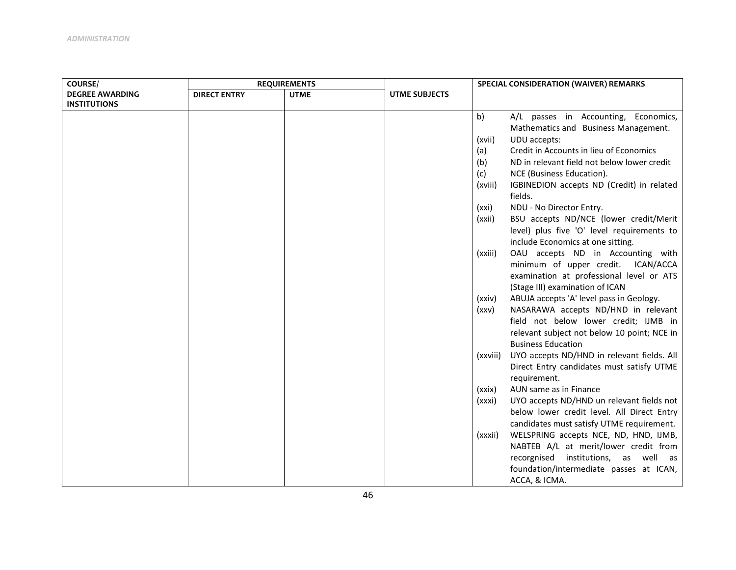| <b>COURSE/</b>         |                     | <b>REQUIREMENTS</b> |                      | SPECIAL CONSIDERATION (WAIVER) REMARKS                                                                       |
|------------------------|---------------------|---------------------|----------------------|--------------------------------------------------------------------------------------------------------------|
| <b>DEGREE AWARDING</b> | <b>DIRECT ENTRY</b> | <b>UTME</b>         | <b>UTME SUBJECTS</b> |                                                                                                              |
| <b>INSTITUTIONS</b>    |                     |                     |                      |                                                                                                              |
|                        |                     |                     |                      | b)<br>A/L passes in Accounting, Economics,<br>Mathematics and Business Management.<br>UDU accepts:<br>(xvii) |
|                        |                     |                     |                      | Credit in Accounts in lieu of Economics<br>(a)                                                               |
|                        |                     |                     |                      | ND in relevant field not below lower credit<br>(b)                                                           |
|                        |                     |                     |                      | NCE (Business Education).                                                                                    |
|                        |                     |                     |                      | (c)                                                                                                          |
|                        |                     |                     |                      | IGBINEDION accepts ND (Credit) in related<br>(xviii)<br>fields.                                              |
|                        |                     |                     |                      | NDU - No Director Entry.<br>(xxi)                                                                            |
|                        |                     |                     |                      | BSU accepts ND/NCE (lower credit/Merit<br>(xxii)                                                             |
|                        |                     |                     |                      | level) plus five 'O' level requirements to<br>include Economics at one sitting.                              |
|                        |                     |                     |                      | OAU accepts ND in Accounting with<br>(xxiii)                                                                 |
|                        |                     |                     |                      | minimum of upper credit.<br>ICAN/ACCA                                                                        |
|                        |                     |                     |                      | examination at professional level or ATS                                                                     |
|                        |                     |                     |                      | (Stage III) examination of ICAN                                                                              |
|                        |                     |                     |                      | ABUJA accepts 'A' level pass in Geology.<br>(xxiv)                                                           |
|                        |                     |                     |                      | NASARAWA accepts ND/HND in relevant<br>(xxv)                                                                 |
|                        |                     |                     |                      | field not below lower credit; IJMB in                                                                        |
|                        |                     |                     |                      | relevant subject not below 10 point; NCE in                                                                  |
|                        |                     |                     |                      | <b>Business Education</b>                                                                                    |
|                        |                     |                     |                      | UYO accepts ND/HND in relevant fields. All<br>(xxviii)                                                       |
|                        |                     |                     |                      | Direct Entry candidates must satisfy UTME                                                                    |
|                        |                     |                     |                      | requirement.                                                                                                 |
|                        |                     |                     |                      | AUN same as in Finance<br>(xxix)                                                                             |
|                        |                     |                     |                      | UYO accepts ND/HND un relevant fields not<br>(xxxi)                                                          |
|                        |                     |                     |                      | below lower credit level. All Direct Entry                                                                   |
|                        |                     |                     |                      | candidates must satisfy UTME requirement.                                                                    |
|                        |                     |                     |                      | WELSPRING accepts NCE, ND, HND, IJMB,<br>(xxxii)                                                             |
|                        |                     |                     |                      | NABTEB A/L at merit/lower credit from                                                                        |
|                        |                     |                     |                      | recorgnised institutions, as well as                                                                         |
|                        |                     |                     |                      | foundation/intermediate passes at ICAN,<br>ACCA, & ICMA.                                                     |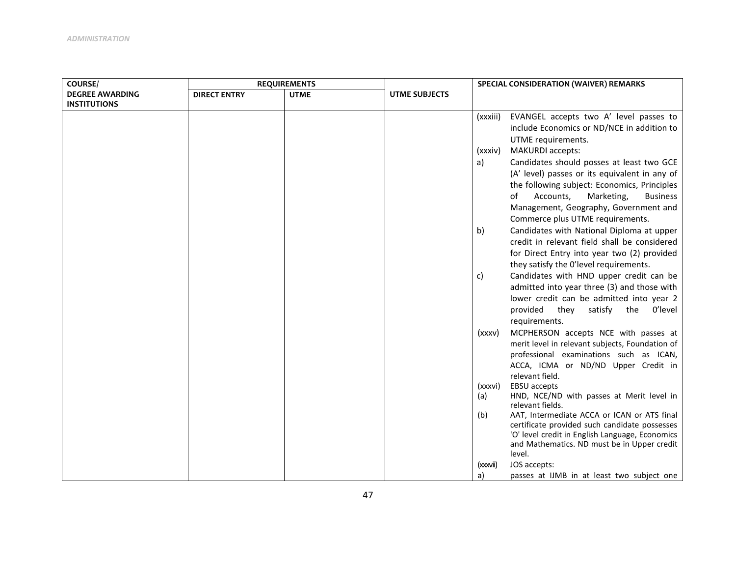| <b>COURSE/</b>         |                     | <b>REQUIREMENTS</b> |                      | SPECIAL CONSIDERATION (WAIVER) REMARKS                                                                                                                                                                                                        |
|------------------------|---------------------|---------------------|----------------------|-----------------------------------------------------------------------------------------------------------------------------------------------------------------------------------------------------------------------------------------------|
| <b>DEGREE AWARDING</b> | <b>DIRECT ENTRY</b> | <b>UTME</b>         | <b>UTME SUBJECTS</b> |                                                                                                                                                                                                                                               |
| <b>INSTITUTIONS</b>    |                     |                     |                      |                                                                                                                                                                                                                                               |
|                        |                     |                     |                      | EVANGEL accepts two A' level passes to<br>(xxxiii)<br>include Economics or ND/NCE in addition to                                                                                                                                              |
|                        |                     |                     |                      | UTME requirements.                                                                                                                                                                                                                            |
|                        |                     |                     |                      | <b>MAKURDI</b> accepts:<br>(xxxiv)                                                                                                                                                                                                            |
|                        |                     |                     |                      | Candidates should posses at least two GCE<br>a)<br>(A' level) passes or its equivalent in any of<br>the following subject: Economics, Principles<br>0f<br>Accounts,<br>Marketing,<br><b>Business</b><br>Management, Geography, Government and |
|                        |                     |                     |                      | Commerce plus UTME requirements.                                                                                                                                                                                                              |
|                        |                     |                     |                      | b)<br>Candidates with National Diploma at upper<br>credit in relevant field shall be considered<br>for Direct Entry into year two (2) provided<br>they satisfy the O'level requirements.                                                      |
|                        |                     |                     |                      | Candidates with HND upper credit can be<br>c)<br>admitted into year three (3) and those with<br>lower credit can be admitted into year 2<br>satisfy<br>0'level<br>provided they<br>the<br>requirements.                                       |
|                        |                     |                     |                      | MCPHERSON accepts NCE with passes at<br>(xxxv)<br>merit level in relevant subjects, Foundation of<br>professional examinations such as ICAN,<br>ACCA, ICMA or ND/ND Upper Credit in<br>relevant field.                                        |
|                        |                     |                     |                      | <b>EBSU</b> accepts<br>(xxxvi)                                                                                                                                                                                                                |
|                        |                     |                     |                      | HND, NCE/ND with passes at Merit level in<br>(a)<br>relevant fields.                                                                                                                                                                          |
|                        |                     |                     |                      | AAT, Intermediate ACCA or ICAN or ATS final<br>(b)<br>certificate provided such candidate possesses<br>'O' level credit in English Language, Economics<br>and Mathematics. ND must be in Upper credit<br>level.                               |
|                        |                     |                     |                      | JOS accepts:<br>(xxxvii)                                                                                                                                                                                                                      |
|                        |                     |                     |                      | a)<br>passes at IJMB in at least two subject one                                                                                                                                                                                              |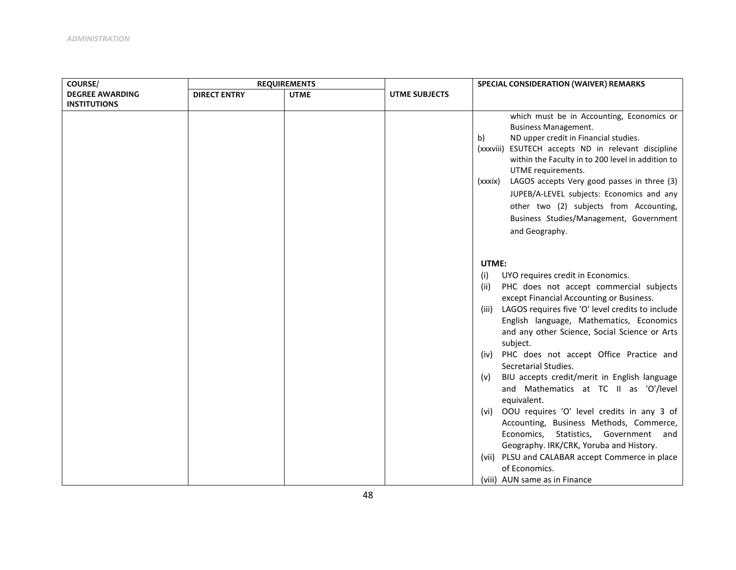| <b>COURSE/</b>         |                     | <b>REQUIREMENTS</b> |                      | SPECIAL CONSIDERATION (WAIVER) REMARKS                                                                                                                                                                                                                                                                                                                                                                                                                                                                                                                                                                                                                                                                                                                                                                                                                                                                                                                                                                                                                                                                                                                                                                                                                   |
|------------------------|---------------------|---------------------|----------------------|----------------------------------------------------------------------------------------------------------------------------------------------------------------------------------------------------------------------------------------------------------------------------------------------------------------------------------------------------------------------------------------------------------------------------------------------------------------------------------------------------------------------------------------------------------------------------------------------------------------------------------------------------------------------------------------------------------------------------------------------------------------------------------------------------------------------------------------------------------------------------------------------------------------------------------------------------------------------------------------------------------------------------------------------------------------------------------------------------------------------------------------------------------------------------------------------------------------------------------------------------------|
| <b>DEGREE AWARDING</b> | <b>DIRECT ENTRY</b> | <b>UTME</b>         | <b>UTME SUBJECTS</b> |                                                                                                                                                                                                                                                                                                                                                                                                                                                                                                                                                                                                                                                                                                                                                                                                                                                                                                                                                                                                                                                                                                                                                                                                                                                          |
| <b>INSTITUTIONS</b>    |                     |                     |                      |                                                                                                                                                                                                                                                                                                                                                                                                                                                                                                                                                                                                                                                                                                                                                                                                                                                                                                                                                                                                                                                                                                                                                                                                                                                          |
|                        |                     |                     |                      | which must be in Accounting, Economics or<br><b>Business Management.</b><br>ND upper credit in Financial studies.<br>b)<br>ESUTECH accepts ND in relevant discipline<br>(xxxviii)<br>within the Faculty in to 200 level in addition to<br>UTME requirements.<br>LAGOS accepts Very good passes in three (3)<br>(xxxix)<br>JUPEB/A-LEVEL subjects: Economics and any<br>other two (2) subjects from Accounting,<br>Business Studies/Management, Government<br>and Geography.<br>UTME:<br>UYO requires credit in Economics.<br>(i)<br>PHC does not accept commercial subjects<br>(ii)<br>except Financial Accounting or Business.<br>LAGOS requires five 'O' level credits to include<br>(iii)<br>English language, Mathematics, Economics<br>and any other Science, Social Science or Arts<br>subject.<br>PHC does not accept Office Practice and<br>(iv)<br>Secretarial Studies.<br>BIU accepts credit/merit in English language<br>(v)<br>and Mathematics at TC II as 'O'/level<br>equivalent.<br>OOU requires 'O' level credits in any 3 of<br>(vi)<br>Accounting, Business Methods, Commerce,<br>Economics, Statistics, Government and<br>Geography. IRK/CRK, Yoruba and History.<br>(vii) PLSU and CALABAR accept Commerce in place<br>of Economics. |
|                        |                     |                     |                      | (viii) AUN same as in Finance                                                                                                                                                                                                                                                                                                                                                                                                                                                                                                                                                                                                                                                                                                                                                                                                                                                                                                                                                                                                                                                                                                                                                                                                                            |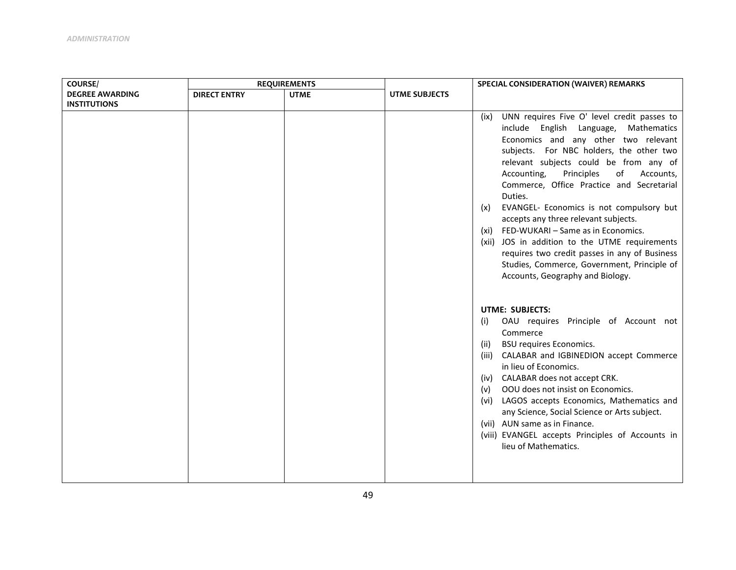| <b>COURSE/</b>         | <b>REQUIREMENTS</b> |             |                      | SPECIAL CONSIDERATION (WAIVER) REMARKS                                                                                                                                                                                                                                                                                                                                                                                                                                                                                                                                                                                                                               |
|------------------------|---------------------|-------------|----------------------|----------------------------------------------------------------------------------------------------------------------------------------------------------------------------------------------------------------------------------------------------------------------------------------------------------------------------------------------------------------------------------------------------------------------------------------------------------------------------------------------------------------------------------------------------------------------------------------------------------------------------------------------------------------------|
| <b>DEGREE AWARDING</b> | <b>DIRECT ENTRY</b> | <b>UTME</b> | <b>UTME SUBJECTS</b> |                                                                                                                                                                                                                                                                                                                                                                                                                                                                                                                                                                                                                                                                      |
| <b>INSTITUTIONS</b>    |                     |             |                      |                                                                                                                                                                                                                                                                                                                                                                                                                                                                                                                                                                                                                                                                      |
|                        |                     |             |                      | UNN requires Five O' level credit passes to<br>(ix)<br>include English Language,<br>Mathematics<br>Economics and any other two relevant<br>subjects. For NBC holders, the other two<br>relevant subjects could be from any of<br>Principles<br>Accounting,<br>of<br>Accounts,<br>Commerce, Office Practice and Secretarial<br>Duties.<br>EVANGEL- Economics is not compulsory but<br>(x)<br>accepts any three relevant subjects.<br>FED-WUKARI - Same as in Economics.<br>(xi)<br>(xii) JOS in addition to the UTME requirements<br>requires two credit passes in any of Business<br>Studies, Commerce, Government, Principle of<br>Accounts, Geography and Biology. |
|                        |                     |             |                      | <b>UTME: SUBJECTS:</b><br>OAU requires Principle of Account not<br>(i)<br>Commerce<br><b>BSU requires Economics.</b><br>(ii)<br>CALABAR and IGBINEDION accept Commerce<br>(iii)<br>in lieu of Economics.<br>CALABAR does not accept CRK.<br>(iv)<br>OOU does not insist on Economics.<br>(v)<br>(vi)<br>LAGOS accepts Economics, Mathematics and<br>any Science, Social Science or Arts subject.<br>(vii) AUN same as in Finance.<br>(viii) EVANGEL accepts Principles of Accounts in<br>lieu of Mathematics.                                                                                                                                                        |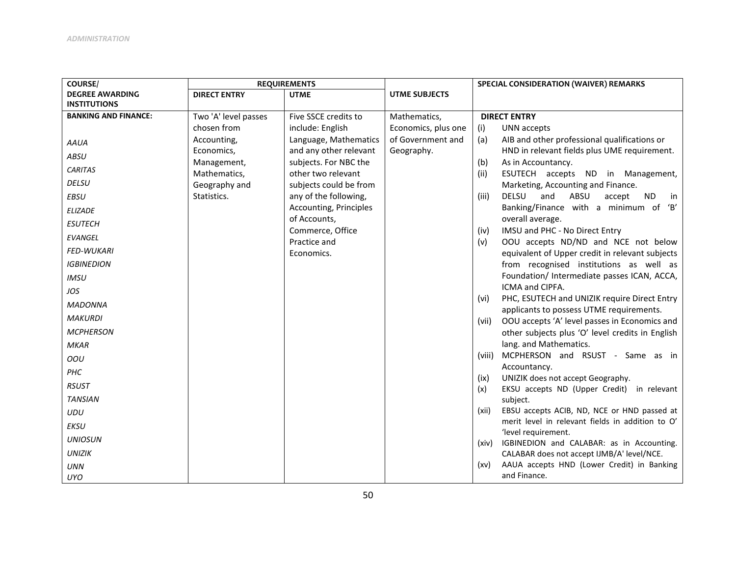| <b>COURSE/</b>              |                              | <b>REQUIREMENTS</b>                             |                      | SPECIAL CONSIDERATION (WAIVER) REMARKS                                                           |
|-----------------------------|------------------------------|-------------------------------------------------|----------------------|--------------------------------------------------------------------------------------------------|
| <b>DEGREE AWARDING</b>      | <b>DIRECT ENTRY</b>          | <b>UTME</b>                                     | <b>UTME SUBJECTS</b> |                                                                                                  |
| <b>INSTITUTIONS</b>         |                              |                                                 |                      |                                                                                                  |
| <b>BANKING AND FINANCE:</b> | Two 'A' level passes         | Five SSCE credits to                            | Mathematics,         | <b>DIRECT ENTRY</b>                                                                              |
|                             | chosen from                  | include: English                                | Economics, plus one  | UNN accepts<br>(i)                                                                               |
| AAUA                        | Accounting,                  | Language, Mathematics                           | of Government and    | AIB and other professional qualifications or<br>(a)                                              |
| ABSU                        | Economics,                   | and any other relevant                          | Geography.           | HND in relevant fields plus UME requirement.                                                     |
| <b>CARITAS</b>              | Management,                  | subjects. For NBC the                           |                      | (b)<br>As in Accountancy.                                                                        |
| <b>DELSU</b>                | Mathematics,                 | other two relevant                              |                      | (ii)<br>ESUTECH accepts ND in Management,                                                        |
| <b>EBSU</b>                 | Geography and<br>Statistics. | subjects could be from<br>any of the following, |                      | Marketing, Accounting and Finance.<br>DELSU<br>and<br>ABSU<br><b>ND</b><br>(iii)<br>accept<br>in |
|                             |                              | Accounting, Principles                          |                      | Banking/Finance with a minimum of 'B'                                                            |
| <b>ELIZADE</b>              |                              | of Accounts,                                    |                      | overall average.                                                                                 |
| <b>ESUTECH</b>              |                              | Commerce, Office                                |                      | IMSU and PHC - No Direct Entry<br>(iv)                                                           |
| <b>EVANGEL</b>              |                              | Practice and                                    |                      | OOU accepts ND/ND and NCE not below<br>(v)                                                       |
| <b>FED-WUKARI</b>           |                              | Economics.                                      |                      | equivalent of Upper credit in relevant subjects                                                  |
| <b>IGBINEDION</b>           |                              |                                                 |                      | from recognised institutions as well as                                                          |
| <b>IMSU</b>                 |                              |                                                 |                      | Foundation/ Intermediate passes ICAN, ACCA,                                                      |
| JOS                         |                              |                                                 |                      | ICMA and CIPFA.                                                                                  |
| <b>MADONNA</b>              |                              |                                                 |                      | PHC, ESUTECH and UNIZIK require Direct Entry<br>(vi)<br>applicants to possess UTME requirements. |
| <b>MAKURDI</b>              |                              |                                                 |                      | OOU accepts 'A' level passes in Economics and<br>(vii)                                           |
| <b>MCPHERSON</b>            |                              |                                                 |                      | other subjects plus 'O' level credits in English                                                 |
| <b>MKAR</b>                 |                              |                                                 |                      | lang. and Mathematics.                                                                           |
| OOU                         |                              |                                                 |                      | MCPHERSON and RSUST - Same as in<br>(viii)                                                       |
| PHC                         |                              |                                                 |                      | Accountancy.                                                                                     |
| <b>RSUST</b>                |                              |                                                 |                      | UNIZIK does not accept Geography.<br>(ix)<br>EKSU accepts ND (Upper Credit) in relevant<br>(x)   |
| <b>TANSIAN</b>              |                              |                                                 |                      | subject.                                                                                         |
| UDU                         |                              |                                                 |                      | EBSU accepts ACIB, ND, NCE or HND passed at<br>(xii)                                             |
| <b>EKSU</b>                 |                              |                                                 |                      | merit level in relevant fields in addition to O'                                                 |
| <b>UNIOSUN</b>              |                              |                                                 |                      | 'level requirement.<br>IGBINEDION and CALABAR: as in Accounting.<br>(xiv)                        |
| <b>UNIZIK</b>               |                              |                                                 |                      | CALABAR does not accept IJMB/A' level/NCE.                                                       |
| <b>UNN</b>                  |                              |                                                 |                      | AAUA accepts HND (Lower Credit) in Banking<br>(xv)                                               |
| <b>UYO</b>                  |                              |                                                 |                      | and Finance.                                                                                     |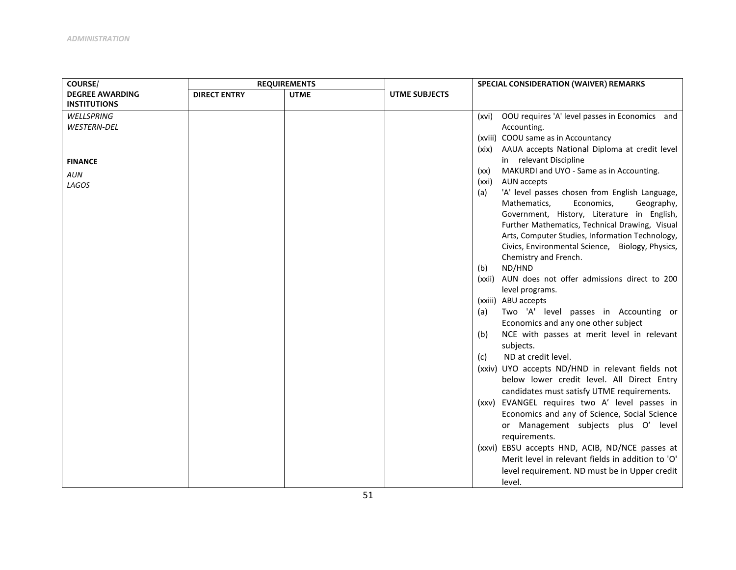| <b>COURSE/</b>         |                     | <b>REQUIREMENTS</b> |                      | SPECIAL CONSIDERATION (WAIVER) REMARKS                                    |
|------------------------|---------------------|---------------------|----------------------|---------------------------------------------------------------------------|
| <b>DEGREE AWARDING</b> | <b>DIRECT ENTRY</b> | <b>UTME</b>         | <b>UTME SUBJECTS</b> |                                                                           |
| <b>INSTITUTIONS</b>    |                     |                     |                      |                                                                           |
| <b>WELLSPRING</b>      |                     |                     |                      | OOU requires 'A' level passes in Economics and<br>(xvi)                   |
| <b>WESTERN-DEL</b>     |                     |                     |                      | Accounting.                                                               |
|                        |                     |                     |                      | (xviii) COOU same as in Accountancy                                       |
|                        |                     |                     |                      | AAUA accepts National Diploma at credit level<br>(xix)                    |
| <b>FINANCE</b>         |                     |                     |                      | in relevant Discipline                                                    |
| AUN                    |                     |                     |                      | MAKURDI and UYO - Same as in Accounting.<br>(xx)                          |
| LAGOS                  |                     |                     |                      | AUN accepts<br>(xxi)                                                      |
|                        |                     |                     |                      | 'A' level passes chosen from English Language,<br>(a)                     |
|                        |                     |                     |                      | Mathematics,<br>Economics,<br>Geography,                                  |
|                        |                     |                     |                      | Government, History, Literature in English,                               |
|                        |                     |                     |                      | Further Mathematics, Technical Drawing, Visual                            |
|                        |                     |                     |                      | Arts, Computer Studies, Information Technology,                           |
|                        |                     |                     |                      | Civics, Environmental Science, Biology, Physics,<br>Chemistry and French. |
|                        |                     |                     |                      | ND/HND<br>(b)                                                             |
|                        |                     |                     |                      | (xxii) AUN does not offer admissions direct to 200                        |
|                        |                     |                     |                      | level programs.                                                           |
|                        |                     |                     |                      | (xxiii) ABU accepts                                                       |
|                        |                     |                     |                      | Two 'A' level passes in Accounting or<br>(a)                              |
|                        |                     |                     |                      | Economics and any one other subject                                       |
|                        |                     |                     |                      | NCE with passes at merit level in relevant<br>(b)                         |
|                        |                     |                     |                      | subjects.                                                                 |
|                        |                     |                     |                      | ND at credit level.<br>(c)                                                |
|                        |                     |                     |                      | (xxiv) UYO accepts ND/HND in relevant fields not                          |
|                        |                     |                     |                      | below lower credit level. All Direct Entry                                |
|                        |                     |                     |                      | candidates must satisfy UTME requirements.                                |
|                        |                     |                     |                      | (xxv) EVANGEL requires two A' level passes in                             |
|                        |                     |                     |                      | Economics and any of Science, Social Science                              |
|                        |                     |                     |                      | or Management subjects plus O' level                                      |
|                        |                     |                     |                      | requirements.                                                             |
|                        |                     |                     |                      | (xxvi) EBSU accepts HND, ACIB, ND/NCE passes at                           |
|                        |                     |                     |                      | Merit level in relevant fields in addition to 'O'                         |
|                        |                     |                     |                      | level requirement. ND must be in Upper credit                             |
|                        |                     |                     |                      | level.                                                                    |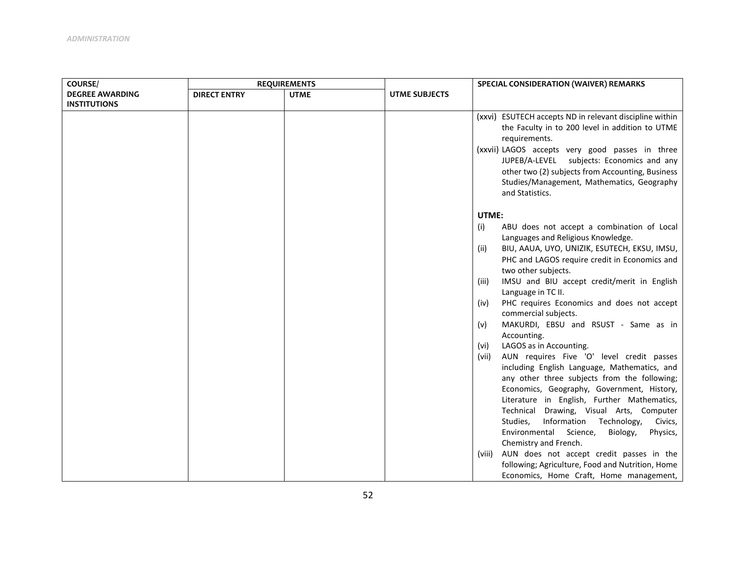| <b>COURSE/</b>         |                     | <b>REQUIREMENTS</b> |                      | SPECIAL CONSIDERATION (WAIVER) REMARKS                                                                                                                                                                                                                                                                                                                                                                                                                                                                                                                                                                                                                                                                                                           |
|------------------------|---------------------|---------------------|----------------------|--------------------------------------------------------------------------------------------------------------------------------------------------------------------------------------------------------------------------------------------------------------------------------------------------------------------------------------------------------------------------------------------------------------------------------------------------------------------------------------------------------------------------------------------------------------------------------------------------------------------------------------------------------------------------------------------------------------------------------------------------|
| <b>DEGREE AWARDING</b> | <b>DIRECT ENTRY</b> | <b>UTME</b>         | <b>UTME SUBJECTS</b> |                                                                                                                                                                                                                                                                                                                                                                                                                                                                                                                                                                                                                                                                                                                                                  |
| <b>INSTITUTIONS</b>    |                     |                     |                      |                                                                                                                                                                                                                                                                                                                                                                                                                                                                                                                                                                                                                                                                                                                                                  |
|                        |                     |                     |                      | (xxvi) ESUTECH accepts ND in relevant discipline within<br>the Faculty in to 200 level in addition to UTME<br>requirements.<br>(xxvii) LAGOS accepts very good passes in three<br>JUPEB/A-LEVEL subjects: Economics and any<br>other two (2) subjects from Accounting, Business<br>Studies/Management, Mathematics, Geography<br>and Statistics.                                                                                                                                                                                                                                                                                                                                                                                                 |
|                        |                     |                     |                      |                                                                                                                                                                                                                                                                                                                                                                                                                                                                                                                                                                                                                                                                                                                                                  |
|                        |                     |                     |                      | UTME:<br>(i)<br>ABU does not accept a combination of Local<br>Languages and Religious Knowledge.<br>BIU, AAUA, UYO, UNIZIK, ESUTECH, EKSU, IMSU,<br>(ii)<br>PHC and LAGOS require credit in Economics and<br>two other subjects.<br>IMSU and BIU accept credit/merit in English<br>(iii)<br>Language in TC II.<br>PHC requires Economics and does not accept<br>(iv)<br>commercial subjects.<br>MAKURDI, EBSU and RSUST - Same as in<br>(v)<br>Accounting.<br>LAGOS as in Accounting.<br>(vi)<br>AUN requires Five 'O' level credit passes<br>(vii)<br>including English Language, Mathematics, and<br>any other three subjects from the following;<br>Economics, Geography, Government, History,<br>Literature in English, Further Mathematics, |
|                        |                     |                     |                      | Technical Drawing, Visual Arts, Computer<br>Studies,<br>Information Technology,<br>Civics,<br>Environmental<br>Science,<br>Biology,<br>Physics,<br>Chemistry and French.<br>AUN does not accept credit passes in the<br>(viii)<br>following; Agriculture, Food and Nutrition, Home<br>Economics, Home Craft, Home management,                                                                                                                                                                                                                                                                                                                                                                                                                    |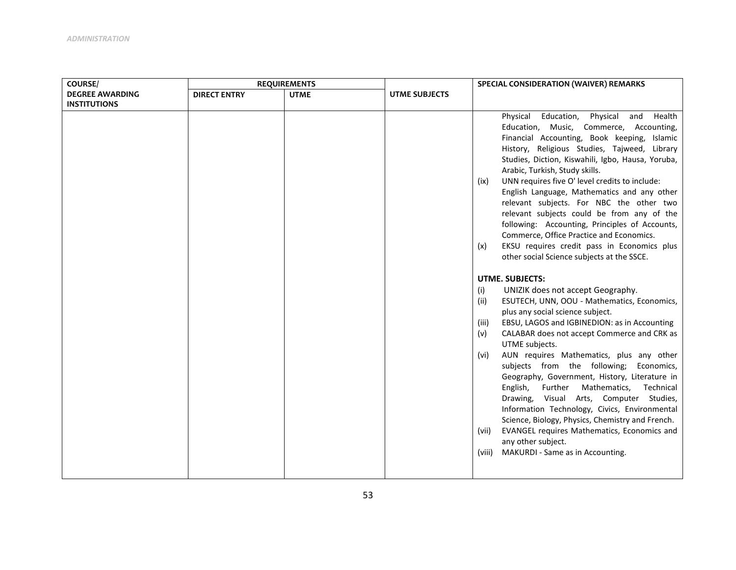| <b>COURSE/</b>         |                     | <b>REQUIREMENTS</b> |                      | SPECIAL CONSIDERATION (WAIVER) REMARKS                                                                                                                                                                                                                                                                                                                                                                                                                                                                                                                                                                                                                                                                                                                                                                                                                                                                                                                                                                                                                                                                                                                                                                                                                                                                                                                                                                                                                                   |
|------------------------|---------------------|---------------------|----------------------|--------------------------------------------------------------------------------------------------------------------------------------------------------------------------------------------------------------------------------------------------------------------------------------------------------------------------------------------------------------------------------------------------------------------------------------------------------------------------------------------------------------------------------------------------------------------------------------------------------------------------------------------------------------------------------------------------------------------------------------------------------------------------------------------------------------------------------------------------------------------------------------------------------------------------------------------------------------------------------------------------------------------------------------------------------------------------------------------------------------------------------------------------------------------------------------------------------------------------------------------------------------------------------------------------------------------------------------------------------------------------------------------------------------------------------------------------------------------------|
| <b>DEGREE AWARDING</b> | <b>DIRECT ENTRY</b> | <b>UTME</b>         | <b>UTME SUBJECTS</b> |                                                                                                                                                                                                                                                                                                                                                                                                                                                                                                                                                                                                                                                                                                                                                                                                                                                                                                                                                                                                                                                                                                                                                                                                                                                                                                                                                                                                                                                                          |
| <b>INSTITUTIONS</b>    |                     |                     |                      |                                                                                                                                                                                                                                                                                                                                                                                                                                                                                                                                                                                                                                                                                                                                                                                                                                                                                                                                                                                                                                                                                                                                                                                                                                                                                                                                                                                                                                                                          |
|                        |                     |                     |                      | Physical Education,<br>Physical and Health<br>Education, Music, Commerce, Accounting,<br>Financial Accounting, Book keeping, Islamic<br>History, Religious Studies, Tajweed, Library<br>Studies, Diction, Kiswahili, Igbo, Hausa, Yoruba,<br>Arabic, Turkish, Study skills.<br>UNN requires five O' level credits to include:<br>(ix)<br>English Language, Mathematics and any other<br>relevant subjects. For NBC the other two<br>relevant subjects could be from any of the<br>following: Accounting, Principles of Accounts,<br>Commerce, Office Practice and Economics.<br>EKSU requires credit pass in Economics plus<br>(x)<br>other social Science subjects at the SSCE.<br><b>UTME. SUBJECTS:</b><br>UNIZIK does not accept Geography.<br>(i)<br>ESUTECH, UNN, OOU - Mathematics, Economics,<br>(ii)<br>plus any social science subject.<br>EBSU, LAGOS and IGBINEDION: as in Accounting<br>(iii)<br>CALABAR does not accept Commerce and CRK as<br>(v)<br>UTME subjects.<br>AUN requires Mathematics, plus any other<br>(vi)<br>subjects from the following;<br>Economics,<br>Geography, Government, History, Literature in<br>Mathematics,<br>English,<br>Further<br>Technical<br>Visual Arts, Computer Studies,<br>Drawing,<br>Information Technology, Civics, Environmental<br>Science, Biology, Physics, Chemistry and French.<br>EVANGEL requires Mathematics, Economics and<br>(vii)<br>any other subject.<br>MAKURDI - Same as in Accounting.<br>(viii) |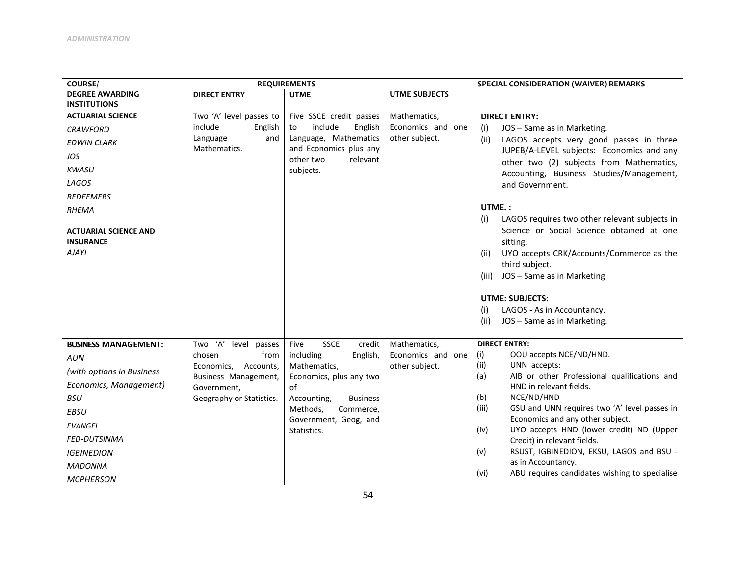| COURSE/                                                          |                                        | <b>REQUIREMENTS</b>                             |                                   | <b>SPECIAL CONSIDERATION (WAIVER) REMARKS</b>                                                                                                                                                                              |
|------------------------------------------------------------------|----------------------------------------|-------------------------------------------------|-----------------------------------|----------------------------------------------------------------------------------------------------------------------------------------------------------------------------------------------------------------------------|
| <b>DEGREE AWARDING</b>                                           | <b>DIRECT ENTRY</b>                    | <b>UTME</b>                                     | <b>UTME SUBJECTS</b>              |                                                                                                                                                                                                                            |
| <b>INSTITUTIONS</b>                                              |                                        |                                                 |                                   |                                                                                                                                                                                                                            |
| <b>ACTUARIAL SCIENCE</b>                                         | Two 'A' level passes to                | Five SSCE credit passes                         | Mathematics,                      | <b>DIRECT ENTRY:</b>                                                                                                                                                                                                       |
| <b>CRAWFORD</b>                                                  | include<br>English                     | include<br>English<br>to                        | Economics and one                 | JOS - Same as in Marketing.<br>(i)                                                                                                                                                                                         |
| <b>EDWIN CLARK</b>                                               | and<br>Language<br>Mathematics.        | Language, Mathematics<br>and Economics plus any | other subject.                    | LAGOS accepts very good passes in three<br>(ii)                                                                                                                                                                            |
| JOS                                                              |                                        | other two<br>relevant                           |                                   | JUPEB/A-LEVEL subjects: Economics and any<br>other two (2) subjects from Mathematics,                                                                                                                                      |
| <b>KWASU</b>                                                     |                                        | subjects.                                       |                                   | Accounting, Business Studies/Management,                                                                                                                                                                                   |
| LAGOS                                                            |                                        |                                                 |                                   | and Government.                                                                                                                                                                                                            |
| <b>REDEEMERS</b>                                                 |                                        |                                                 |                                   |                                                                                                                                                                                                                            |
| <b>RHEMA</b>                                                     |                                        |                                                 |                                   | UTME.:                                                                                                                                                                                                                     |
| <b>ACTUARIAL SCIENCE AND</b><br><b>INSURANCE</b><br><b>AJAYI</b> |                                        |                                                 |                                   | LAGOS requires two other relevant subjects in<br>(i)<br>Science or Social Science obtained at one<br>sitting.<br>UYO accepts CRK/Accounts/Commerce as the<br>(ii)<br>third subject.<br>JOS - Same as in Marketing<br>(iii) |
|                                                                  |                                        |                                                 |                                   | <b>UTME: SUBJECTS:</b>                                                                                                                                                                                                     |
|                                                                  |                                        |                                                 |                                   | LAGOS - As in Accountancy.<br>(i)                                                                                                                                                                                          |
|                                                                  |                                        |                                                 |                                   | (ii)<br>JOS - Same as in Marketing.                                                                                                                                                                                        |
|                                                                  |                                        |                                                 |                                   |                                                                                                                                                                                                                            |
| <b>BUSINESS MANAGEMENT:</b>                                      | Two 'A' level passes<br>chosen<br>from | <b>SSCE</b><br>Five<br>credit<br>including      | Mathematics,<br>Economics and one | <b>DIRECT ENTRY:</b><br>(i)<br>OOU accepts NCE/ND/HND.                                                                                                                                                                     |
| <b>AUN</b>                                                       | Economics,<br>Accounts,                | English,<br>Mathematics,                        | other subject.                    | UNN accepts:<br>(ii)                                                                                                                                                                                                       |
| (with options in Business                                        | Business Management,                   | Economics, plus any two                         |                                   | AIB or other Professional qualifications and<br>(a)                                                                                                                                                                        |
| Economics, Management)                                           | Government.                            | of                                              |                                   | HND in relevant fields.                                                                                                                                                                                                    |
| <b>BSU</b>                                                       | Geography or Statistics.               | Accounting,<br><b>Business</b>                  |                                   | NCE/ND/HND<br>(b)                                                                                                                                                                                                          |
| <b>EBSU</b>                                                      |                                        | Methods,<br>Commerce,                           |                                   | GSU and UNN requires two 'A' level passes in<br>(iii)<br>Economics and any other subject.                                                                                                                                  |
| <b>EVANGEL</b>                                                   |                                        | Government, Geog, and<br>Statistics.            |                                   | UYO accepts HND (lower credit) ND (Upper<br>(iv)                                                                                                                                                                           |
| <b>FED-DUTSINMA</b>                                              |                                        |                                                 |                                   | Credit) in relevant fields.                                                                                                                                                                                                |
| <b>IGBINEDION</b>                                                |                                        |                                                 |                                   | RSUST, IGBINEDION, EKSU, LAGOS and BSU -<br>(v)                                                                                                                                                                            |
| <b>MADONNA</b>                                                   |                                        |                                                 |                                   | as in Accountancy.                                                                                                                                                                                                         |
| <b>MCPHERSON</b>                                                 |                                        |                                                 |                                   | ABU requires candidates wishing to specialise<br>(vi)                                                                                                                                                                      |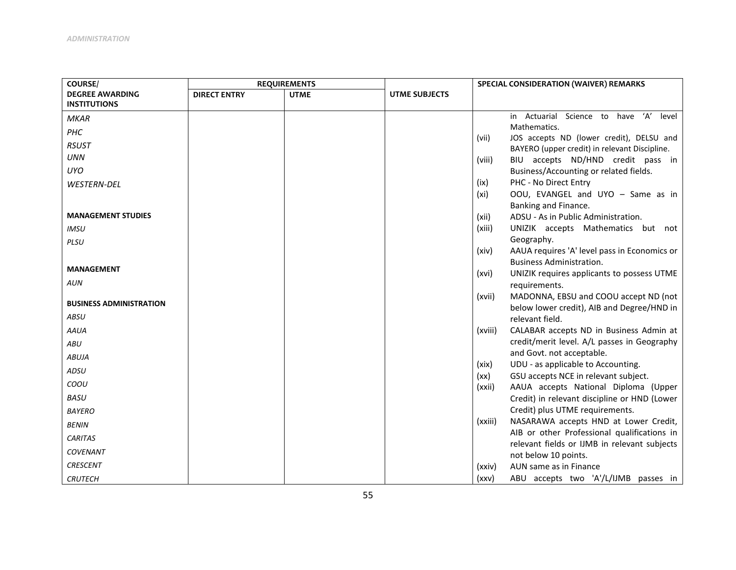| <b>COURSE/</b>                 |                     | <b>REQUIREMENTS</b> |                      | SPECIAL CONSIDERATION (WAIVER) REMARKS       |                                                                                      |
|--------------------------------|---------------------|---------------------|----------------------|----------------------------------------------|--------------------------------------------------------------------------------------|
| <b>DEGREE AWARDING</b>         | <b>DIRECT ENTRY</b> | <b>UTME</b>         | <b>UTME SUBJECTS</b> |                                              |                                                                                      |
| <b>INSTITUTIONS</b>            |                     |                     |                      |                                              |                                                                                      |
| <b>MKAR</b>                    |                     |                     |                      |                                              | in Actuarial Science to have 'A'<br>level                                            |
| <b>PHC</b>                     |                     |                     |                      | Mathematics.                                 | JOS accepts ND (lower credit), DELSU and                                             |
| <b>RSUST</b>                   |                     |                     |                      | (vii)                                        | BAYERO (upper credit) in relevant Discipline.                                        |
| <b>UNN</b>                     |                     |                     |                      | (viii)                                       | BIU accepts ND/HND credit pass in                                                    |
| <b>UYO</b>                     |                     |                     |                      |                                              | Business/Accounting or related fields.                                               |
| <b>WESTERN-DEL</b>             |                     |                     |                      | PHC - No Direct Entry<br>(ix)                |                                                                                      |
|                                |                     |                     |                      | (xi)                                         | OOU, EVANGEL and UYO - Same as in                                                    |
|                                |                     |                     |                      | Banking and Finance.                         |                                                                                      |
| <b>MANAGEMENT STUDIES</b>      |                     |                     |                      | ADSU - As in Public Administration.<br>(xii) |                                                                                      |
| <b>IMSU</b>                    |                     |                     |                      | (xiii)                                       | UNIZIK accepts Mathematics but not                                                   |
| PLSU                           |                     |                     |                      | Geography.                                   |                                                                                      |
|                                |                     |                     |                      | (xiv)                                        | AAUA requires 'A' level pass in Economics or                                         |
| <b>MANAGEMENT</b>              |                     |                     |                      | <b>Business Administration.</b>              |                                                                                      |
| AUN                            |                     |                     |                      | (xvi)<br>requirements.                       | UNIZIK requires applicants to possess UTME                                           |
|                                |                     |                     |                      | (xvii)                                       | MADONNA, EBSU and COOU accept ND (not                                                |
| <b>BUSINESS ADMINISTRATION</b> |                     |                     |                      |                                              | below lower credit), AIB and Degree/HND in                                           |
| ABSU                           |                     |                     |                      | relevant field.                              |                                                                                      |
| <b>AAUA</b>                    |                     |                     |                      | (xviii)                                      | CALABAR accepts ND in Business Admin at                                              |
| ABU                            |                     |                     |                      |                                              | credit/merit level. A/L passes in Geography                                          |
| <b>ABUJA</b>                   |                     |                     |                      | and Govt. not acceptable.                    |                                                                                      |
| ADSU                           |                     |                     |                      | UDU - as applicable to Accounting.<br>(xix)  |                                                                                      |
| COOU                           |                     |                     |                      | (xx)                                         | GSU accepts NCE in relevant subject.                                                 |
| <b>BASU</b>                    |                     |                     |                      | (xxii)                                       | AAUA accepts National Diploma (Upper<br>Credit) in relevant discipline or HND (Lower |
|                                |                     |                     |                      | Credit) plus UTME requirements.              |                                                                                      |
| <b>BAYERO</b>                  |                     |                     |                      | (xxiii)                                      | NASARAWA accepts HND at Lower Credit,                                                |
| <b>BENIN</b>                   |                     |                     |                      |                                              | AIB or other Professional qualifications in                                          |
| <b>CARITAS</b>                 |                     |                     |                      |                                              | relevant fields or IJMB in relevant subjects                                         |
| <b>COVENANT</b>                |                     |                     |                      | not below 10 points.                         |                                                                                      |
| <b>CRESCENT</b>                |                     |                     |                      | AUN same as in Finance<br>(xxiv)             |                                                                                      |
| <b>CRUTECH</b>                 |                     |                     |                      | (xxy)                                        | ABU accepts two 'A'/L/IJMB passes in                                                 |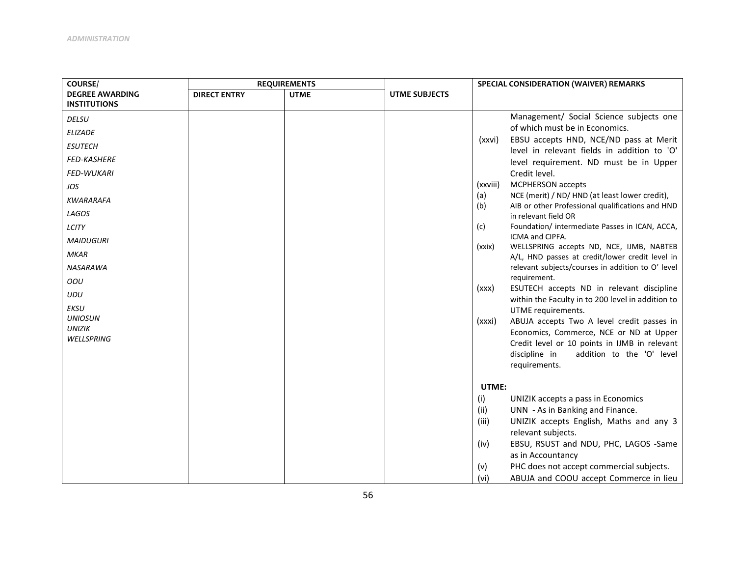| <b>COURSE/</b>         |                     | <b>REQUIREMENTS</b> |                      | SPECIAL CONSIDERATION (WAIVER) REMARKS                                                                |
|------------------------|---------------------|---------------------|----------------------|-------------------------------------------------------------------------------------------------------|
| <b>DEGREE AWARDING</b> | <b>DIRECT ENTRY</b> | <b>UTME</b>         | <b>UTME SUBJECTS</b> |                                                                                                       |
| <b>INSTITUTIONS</b>    |                     |                     |                      |                                                                                                       |
| <b>DELSU</b>           |                     |                     |                      | Management/ Social Science subjects one                                                               |
| <b>ELIZADE</b>         |                     |                     |                      | of which must be in Economics.<br>EBSU accepts HND, NCE/ND pass at Merit                              |
| <b>ESUTECH</b>         |                     |                     |                      | (xxvi)<br>level in relevant fields in addition to 'O'                                                 |
| FED-KASHERE            |                     |                     |                      | level requirement. ND must be in Upper                                                                |
| <b>FED-WUKARI</b>      |                     |                     |                      | Credit level.                                                                                         |
| JOS                    |                     |                     |                      | <b>MCPHERSON</b> accepts<br>(xxviii)                                                                  |
| <b>KWARARAFA</b>       |                     |                     |                      | NCE (merit) / ND/ HND (at least lower credit),<br>(a)                                                 |
| LAGOS                  |                     |                     |                      | AIB or other Professional qualifications and HND<br>(b)<br>in relevant field OR                       |
| LCITY                  |                     |                     |                      | Foundation/ intermediate Passes in ICAN, ACCA,<br>(c)                                                 |
| <b>MAIDUGURI</b>       |                     |                     |                      | ICMA and CIPFA.                                                                                       |
| <b>MKAR</b>            |                     |                     |                      | WELLSPRING accepts ND, NCE, IJMB, NABTEB<br>(xxix)<br>A/L, HND passes at credit/lower credit level in |
| NASARAWA               |                     |                     |                      | relevant subjects/courses in addition to O' level                                                     |
| OOU                    |                     |                     |                      | requirement.                                                                                          |
| <b>UDU</b>             |                     |                     |                      | ESUTECH accepts ND in relevant discipline<br>(xxx)                                                    |
| <b>EKSU</b>            |                     |                     |                      | within the Faculty in to 200 level in addition to<br>UTME requirements.                               |
| <b>UNIOSUN</b>         |                     |                     |                      | ABUJA accepts Two A level credit passes in<br>(xxxi)                                                  |
| <b>UNIZIK</b>          |                     |                     |                      | Economics, Commerce, NCE or ND at Upper                                                               |
| WELLSPRING             |                     |                     |                      | Credit level or 10 points in IJMB in relevant                                                         |
|                        |                     |                     |                      | addition to the 'O' level<br>discipline in                                                            |
|                        |                     |                     |                      | requirements.                                                                                         |
|                        |                     |                     |                      | UTME:                                                                                                 |
|                        |                     |                     |                      | UNIZIK accepts a pass in Economics<br>(i)                                                             |
|                        |                     |                     |                      | UNN - As in Banking and Finance.<br>(ii)                                                              |
|                        |                     |                     |                      | UNIZIK accepts English, Maths and any 3<br>(iii)                                                      |
|                        |                     |                     |                      | relevant subjects.                                                                                    |
|                        |                     |                     |                      | EBSU, RSUST and NDU, PHC, LAGOS -Same<br>(iv)                                                         |
|                        |                     |                     |                      | as in Accountancy                                                                                     |
|                        |                     |                     |                      | PHC does not accept commercial subjects.<br>(v)                                                       |
|                        |                     |                     |                      | ABUJA and COOU accept Commerce in lieu<br>(vi)                                                        |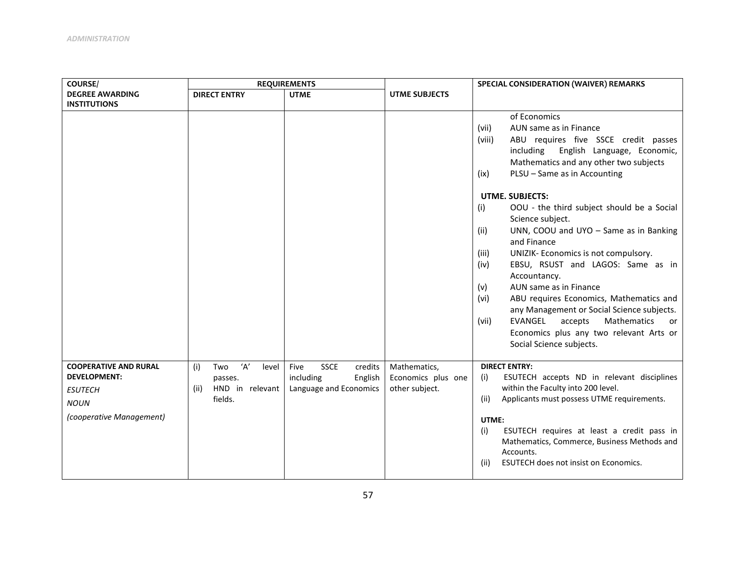| <b>COURSE/</b>               | <b>REQUIREMENTS</b>                   |                                |                      | <b>SPECIAL CONSIDERATION (WAIVER) REMARKS</b>                                                                                                                                                                                   |
|------------------------------|---------------------------------------|--------------------------------|----------------------|---------------------------------------------------------------------------------------------------------------------------------------------------------------------------------------------------------------------------------|
| <b>DEGREE AWARDING</b>       | <b>DIRECT ENTRY</b>                   | <b>UTME</b>                    | <b>UTME SUBJECTS</b> |                                                                                                                                                                                                                                 |
| <b>INSTITUTIONS</b>          |                                       |                                |                      |                                                                                                                                                                                                                                 |
|                              |                                       |                                |                      | of Economics<br>AUN same as in Finance<br>(vii)<br>ABU requires five SSCE credit passes<br>(viii)<br>English Language, Economic,<br>including<br>Mathematics and any other two subjects<br>PLSU - Same as in Accounting<br>(ix) |
|                              |                                       |                                |                      | <b>UTME. SUBJECTS:</b>                                                                                                                                                                                                          |
|                              |                                       |                                |                      | OOU - the third subject should be a Social<br>(i)<br>Science subject.<br>UNN, COOU and UYO - Same as in Banking<br>(ii)<br>and Finance                                                                                          |
|                              |                                       |                                |                      | UNIZIK- Economics is not compulsory.<br>(iii)<br>EBSU, RSUST and LAGOS: Same as in<br>(iv)                                                                                                                                      |
|                              |                                       |                                |                      | Accountancy.                                                                                                                                                                                                                    |
|                              |                                       |                                |                      | AUN same as in Finance<br>(v)                                                                                                                                                                                                   |
|                              |                                       |                                |                      | ABU requires Economics, Mathematics and<br>(vi)<br>any Management or Social Science subjects.                                                                                                                                   |
|                              |                                       |                                |                      | EVANGEL<br>accepts<br>(vii)<br><b>Mathematics</b><br>or                                                                                                                                                                         |
|                              |                                       |                                |                      | Economics plus any two relevant Arts or<br>Social Science subjects.                                                                                                                                                             |
| <b>COOPERATIVE AND RURAL</b> | $'\mathsf{A}'$<br>(i)<br>Two<br>level | <b>SSCE</b><br>Five<br>credits | Mathematics,         | <b>DIRECT ENTRY:</b>                                                                                                                                                                                                            |
| <b>DEVELOPMENT:</b>          | passes.                               | including<br>English           | Economics plus one   | ESUTECH accepts ND in relevant disciplines<br>(i)                                                                                                                                                                               |
| <b>ESUTECH</b>               | HND in relevant<br>(ii)               | Language and Economics         | other subject.       | within the Faculty into 200 level.                                                                                                                                                                                              |
| <b>NOUN</b>                  | fields.                               |                                |                      | Applicants must possess UTME requirements.<br>(ii)                                                                                                                                                                              |
| (cooperative Management)     |                                       |                                |                      | UTME:<br>ESUTECH requires at least a credit pass in<br>(i)<br>Mathematics, Commerce, Business Methods and<br>Accounts.<br><b>ESUTECH does not insist on Economics.</b><br>(ii)                                                  |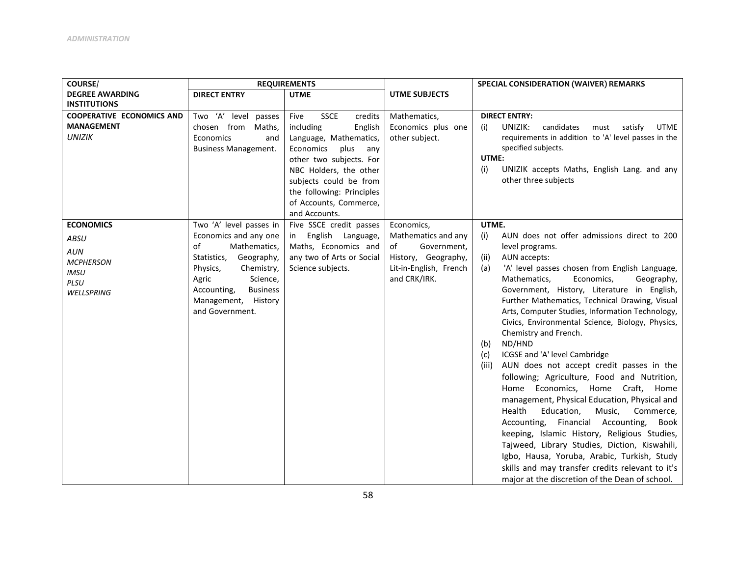| <b>COURSE/</b>                   |                                | <b>REQUIREMENTS</b>            |                        | SPECIAL CONSIDERATION (WAIVER) REMARKS                         |
|----------------------------------|--------------------------------|--------------------------------|------------------------|----------------------------------------------------------------|
| <b>DEGREE AWARDING</b>           | <b>DIRECT ENTRY</b>            | <b>UTME</b>                    | <b>UTME SUBJECTS</b>   |                                                                |
| <b>INSTITUTIONS</b>              |                                |                                |                        |                                                                |
| <b>COOPERATIVE ECONOMICS AND</b> | Two 'A' level passes           | <b>SSCE</b><br>Five<br>credits | Mathematics,           | <b>DIRECT ENTRY:</b>                                           |
| <b>MANAGEMENT</b>                | chosen from Maths,             | including<br>English           | Economics plus one     | UNIZIK:<br>candidates<br><b>UTME</b><br>(i)<br>satisfy<br>must |
| <b>UNIZIK</b>                    | Economics<br>and               | Language, Mathematics,         | other subject.         | requirements in addition to 'A' level passes in the            |
|                                  | <b>Business Management.</b>    | Economics<br>plus<br>any       |                        | specified subjects.                                            |
|                                  |                                | other two subjects. For        |                        | UTME:                                                          |
|                                  |                                | NBC Holders, the other         |                        | (i)<br>UNIZIK accepts Maths, English Lang. and any             |
|                                  |                                | subjects could be from         |                        | other three subjects                                           |
|                                  |                                | the following: Principles      |                        |                                                                |
|                                  |                                | of Accounts, Commerce,         |                        |                                                                |
|                                  |                                | and Accounts.                  |                        |                                                                |
| <b>ECONOMICS</b>                 | Two 'A' level passes in        | Five SSCE credit passes        | Economics,             | UTME.                                                          |
| ABSU                             | Economics and any one          | in English Language,           | Mathematics and any    | (i)<br>AUN does not offer admissions direct to 200             |
|                                  | Mathematics,<br>of             | Maths, Economics and           | Government,<br>of      | level programs.                                                |
| <b>AUN</b>                       | Geography,<br>Statistics,      | any two of Arts or Social      | History, Geography,    | AUN accepts:<br>(ii)                                           |
| <b>MCPHERSON</b>                 | Physics,<br>Chemistry,         | Science subjects.              | Lit-in-English, French | (a)<br>'A' level passes chosen from English Language,          |
| <b>IMSU</b><br>PLSU              | Agric<br>Science,              |                                | and CRK/IRK.           | Mathematics,<br>Economics,<br>Geography,                       |
| WELLSPRING                       | Accounting,<br><b>Business</b> |                                |                        | Government, History, Literature in English,                    |
|                                  | Management, History            |                                |                        | Further Mathematics, Technical Drawing, Visual                 |
|                                  | and Government.                |                                |                        | Arts, Computer Studies, Information Technology,                |
|                                  |                                |                                |                        | Civics, Environmental Science, Biology, Physics,               |
|                                  |                                |                                |                        | Chemistry and French.                                          |
|                                  |                                |                                |                        | ND/HND<br>(b)                                                  |
|                                  |                                |                                |                        | ICGSE and 'A' level Cambridge<br>(c)                           |
|                                  |                                |                                |                        | AUN does not accept credit passes in the<br>(iii)              |
|                                  |                                |                                |                        | following; Agriculture, Food and Nutrition,                    |
|                                  |                                |                                |                        | Home Economics, Home Craft, Home                               |
|                                  |                                |                                |                        | management, Physical Education, Physical and                   |
|                                  |                                |                                |                        | Health<br>Education,<br>Music,<br>Commerce,                    |
|                                  |                                |                                |                        | Accounting, Financial Accounting,<br>Book                      |
|                                  |                                |                                |                        | keeping, Islamic History, Religious Studies,                   |
|                                  |                                |                                |                        | Tajweed, Library Studies, Diction, Kiswahili,                  |
|                                  |                                |                                |                        | Igbo, Hausa, Yoruba, Arabic, Turkish, Study                    |
|                                  |                                |                                |                        |                                                                |
|                                  |                                |                                |                        | skills and may transfer credits relevant to it's               |
|                                  |                                |                                |                        | major at the discretion of the Dean of school.                 |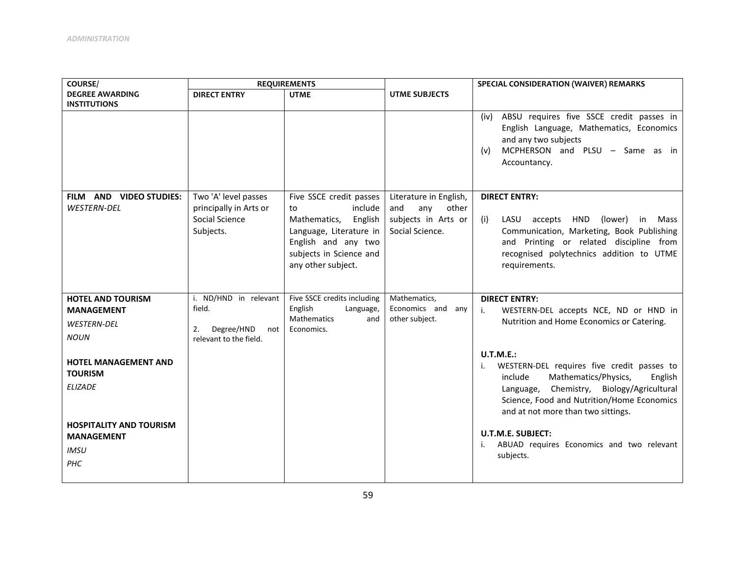| COURSE/                                                                                                                                      |                                                       | <b>REQUIREMENTS</b>                                                                                                                         |                                                               | SPECIAL CONSIDERATION (WAIVER) REMARKS                                                                                                                                                                                                                                                                                                   |
|----------------------------------------------------------------------------------------------------------------------------------------------|-------------------------------------------------------|---------------------------------------------------------------------------------------------------------------------------------------------|---------------------------------------------------------------|------------------------------------------------------------------------------------------------------------------------------------------------------------------------------------------------------------------------------------------------------------------------------------------------------------------------------------------|
| <b>DEGREE AWARDING</b>                                                                                                                       | <b>DIRECT ENTRY</b>                                   | <b>UTME</b>                                                                                                                                 | <b>UTME SUBJECTS</b>                                          |                                                                                                                                                                                                                                                                                                                                          |
| <b>INSTITUTIONS</b>                                                                                                                          |                                                       |                                                                                                                                             |                                                               |                                                                                                                                                                                                                                                                                                                                          |
|                                                                                                                                              |                                                       |                                                                                                                                             |                                                               | ABSU requires five SSCE credit passes in<br>(iv)<br>English Language, Mathematics, Economics<br>and any two subjects<br>MCPHERSON and PLSU - Same as in<br>(v)<br>Accountancy.                                                                                                                                                           |
| FILM AND VIDEO STUDIES:                                                                                                                      | Two 'A' level passes                                  | Five SSCE credit passes                                                                                                                     | Literature in English,                                        | <b>DIRECT ENTRY:</b>                                                                                                                                                                                                                                                                                                                     |
| WESTERN-DEL                                                                                                                                  | principally in Arts or<br>Social Science<br>Subjects. | include<br>to<br>Mathematics,<br>English<br>Language, Literature in<br>English and any two<br>subjects in Science and<br>any other subject. | other<br>and<br>any<br>subjects in Arts or<br>Social Science. | (i)<br>LASU accepts HND<br>(lower)<br>in Mass<br>Communication, Marketing, Book Publishing<br>and Printing or related discipline from<br>recognised polytechnics addition to UTME<br>requirements.                                                                                                                                       |
| <b>HOTEL AND TOURISM</b>                                                                                                                     | i. ND/HND in relevant                                 | Five SSCE credits including                                                                                                                 | Mathematics,                                                  | <b>DIRECT ENTRY:</b>                                                                                                                                                                                                                                                                                                                     |
| <b>MANAGEMENT</b>                                                                                                                            | field.                                                | English<br>Language,                                                                                                                        | Economics and<br>any                                          | i.<br>WESTERN-DEL accepts NCE, ND or HND in                                                                                                                                                                                                                                                                                              |
| <b>WESTERN-DEL</b>                                                                                                                           |                                                       | Mathematics<br>and                                                                                                                          | other subject.                                                | Nutrition and Home Economics or Catering.                                                                                                                                                                                                                                                                                                |
| <b>NOUN</b>                                                                                                                                  | Degree/HND<br>2.<br>not<br>relevant to the field.     | Economics.                                                                                                                                  |                                                               |                                                                                                                                                                                                                                                                                                                                          |
| <b>HOTEL MANAGEMENT AND</b><br><b>TOURISM</b><br><b>ELIZADE</b><br><b>HOSPITALITY AND TOURISM</b><br><b>MANAGEMENT</b><br><b>IMSU</b><br>PHC |                                                       |                                                                                                                                             |                                                               | <b>U.T.M.E.:</b><br>WESTERN-DEL requires five credit passes to<br>i.<br>Mathematics/Physics,<br>include<br>English<br>Language, Chemistry, Biology/Agricultural<br>Science, Food and Nutrition/Home Economics<br>and at not more than two sittings.<br>U.T.M.E. SUBJECT:<br>ABUAD requires Economics and two relevant<br>j.<br>subjects. |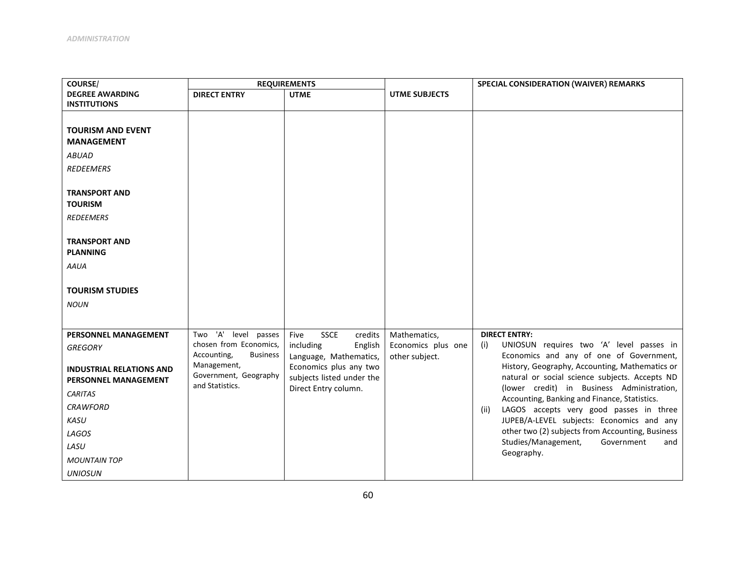| <b>COURSE/</b>                                                 |                                               | <b>REQUIREMENTS</b>                                 |                      | SPECIAL CONSIDERATION (WAIVER) REMARKS                                                        |
|----------------------------------------------------------------|-----------------------------------------------|-----------------------------------------------------|----------------------|-----------------------------------------------------------------------------------------------|
| <b>DEGREE AWARDING</b>                                         | <b>DIRECT ENTRY</b>                           | <b>UTME</b>                                         | <b>UTME SUBJECTS</b> |                                                                                               |
| <b>INSTITUTIONS</b>                                            |                                               |                                                     |                      |                                                                                               |
| <b>TOURISM AND EVENT</b>                                       |                                               |                                                     |                      |                                                                                               |
| <b>MANAGEMENT</b>                                              |                                               |                                                     |                      |                                                                                               |
| <b>ABUAD</b>                                                   |                                               |                                                     |                      |                                                                                               |
| <b>REDEEMERS</b>                                               |                                               |                                                     |                      |                                                                                               |
|                                                                |                                               |                                                     |                      |                                                                                               |
| <b>TRANSPORT AND</b>                                           |                                               |                                                     |                      |                                                                                               |
| <b>TOURISM</b>                                                 |                                               |                                                     |                      |                                                                                               |
| <b>REDEEMERS</b>                                               |                                               |                                                     |                      |                                                                                               |
| <b>TRANSPORT AND</b>                                           |                                               |                                                     |                      |                                                                                               |
| <b>PLANNING</b>                                                |                                               |                                                     |                      |                                                                                               |
| <b>AAUA</b>                                                    |                                               |                                                     |                      |                                                                                               |
|                                                                |                                               |                                                     |                      |                                                                                               |
| <b>TOURISM STUDIES</b>                                         |                                               |                                                     |                      |                                                                                               |
| <b>NOUN</b>                                                    |                                               |                                                     |                      |                                                                                               |
|                                                                |                                               |                                                     |                      |                                                                                               |
| PERSONNEL MANAGEMENT                                           | Two 'A' level passes                          | <b>SSCE</b><br>Five<br>credits                      | Mathematics,         | <b>DIRECT ENTRY:</b>                                                                          |
| <b>GREGORY</b>                                                 | chosen from Economics,                        | including<br>English                                | Economics plus one   | UNIOSUN requires two 'A' level passes in<br>(i)                                               |
|                                                                | Accounting,<br><b>Business</b><br>Management, | Language, Mathematics,                              | other subject.       | Economics and any of one of Government,<br>History, Geography, Accounting, Mathematics or     |
| <b>INDUSTRIAL RELATIONS AND</b><br><b>PERSONNEL MANAGEMENT</b> | Government, Geography                         | Economics plus any two<br>subjects listed under the |                      | natural or social science subjects. Accepts ND                                                |
|                                                                | and Statistics.                               | Direct Entry column.                                |                      | (lower credit) in Business Administration,                                                    |
| CARITAS<br><b>CRAWFORD</b>                                     |                                               |                                                     |                      | Accounting, Banking and Finance, Statistics.                                                  |
|                                                                |                                               |                                                     |                      | LAGOS accepts very good passes in three<br>(ii)                                               |
| KASU                                                           |                                               |                                                     |                      | JUPEB/A-LEVEL subjects: Economics and any<br>other two (2) subjects from Accounting, Business |
| LAGOS                                                          |                                               |                                                     |                      | Studies/Management,<br>Government<br>and                                                      |
| LASU                                                           |                                               |                                                     |                      | Geography.                                                                                    |
| <b>MOUNTAIN TOP</b>                                            |                                               |                                                     |                      |                                                                                               |
| <b>UNIOSUN</b>                                                 |                                               |                                                     |                      |                                                                                               |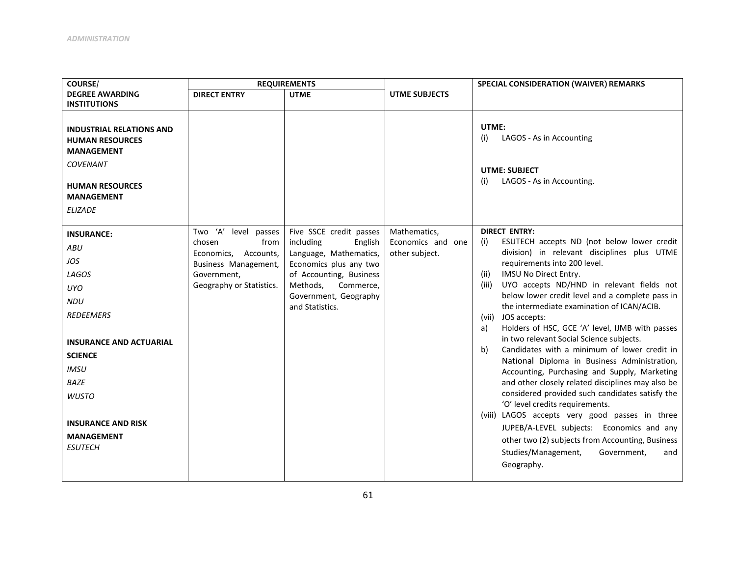| <b>COURSE/</b>                                                                                                                                                     |                                           | <b>REQUIREMENTS</b>                            |                                     | SPECIAL CONSIDERATION (WAIVER) REMARKS                                                                                                                                                                     |
|--------------------------------------------------------------------------------------------------------------------------------------------------------------------|-------------------------------------------|------------------------------------------------|-------------------------------------|------------------------------------------------------------------------------------------------------------------------------------------------------------------------------------------------------------|
| <b>DEGREE AWARDING</b>                                                                                                                                             | <b>DIRECT ENTRY</b>                       | <b>UTME</b>                                    | UTME SUBJECTS                       |                                                                                                                                                                                                            |
| <b>INSTITUTIONS</b>                                                                                                                                                |                                           |                                                |                                     |                                                                                                                                                                                                            |
| <b>INDUSTRIAL RELATIONS AND</b><br><b>HUMAN RESOURCES</b><br><b>MANAGEMENT</b><br><b>COVENANT</b><br><b>HUMAN RESOURCES</b><br><b>MANAGEMENT</b><br><b>ELIZADE</b> |                                           |                                                |                                     | UTME:<br>LAGOS - As in Accounting<br>(i)<br><b>UTME: SUBJECT</b><br>LAGOS - As in Accounting.<br>(i)                                                                                                       |
| <b>INSURANCE:</b>                                                                                                                                                  | Two 'A' level passes                      | Five SSCE credit passes                        | Mathematics,                        | <b>DIRECT ENTRY:</b>                                                                                                                                                                                       |
| <b>ABU</b>                                                                                                                                                         | from<br>chosen<br>Accounts,<br>Economics, | including<br>English<br>Language, Mathematics, | Economics and one<br>other subject. | ESUTECH accepts ND (not below lower credit<br>(i)<br>division) in relevant disciplines plus UTME                                                                                                           |
| JOS                                                                                                                                                                | Business Management,                      | Economics plus any two                         |                                     | requirements into 200 level.                                                                                                                                                                               |
| LAGOS                                                                                                                                                              | Government,                               | of Accounting, Business                        |                                     | IMSU No Direct Entry.<br>(ii)                                                                                                                                                                              |
| <b>UYO</b>                                                                                                                                                         | Geography or Statistics.                  | Methods,<br>Commerce,                          |                                     | UYO accepts ND/HND in relevant fields not<br>(iii)                                                                                                                                                         |
| <b>NDU</b>                                                                                                                                                         |                                           | Government, Geography<br>and Statistics.       |                                     | below lower credit level and a complete pass in<br>the intermediate examination of ICAN/ACIB.                                                                                                              |
| <b>REDEEMERS</b>                                                                                                                                                   |                                           |                                                |                                     | JOS accepts:<br>(vii)                                                                                                                                                                                      |
|                                                                                                                                                                    |                                           |                                                |                                     | Holders of HSC, GCE 'A' level, IJMB with passes<br>a)                                                                                                                                                      |
| <b>INSURANCE AND ACTUARIAL</b>                                                                                                                                     |                                           |                                                |                                     | in two relevant Social Science subjects.<br>Candidates with a minimum of lower credit in<br>b)                                                                                                             |
| <b>SCIENCE</b>                                                                                                                                                     |                                           |                                                |                                     | National Diploma in Business Administration,                                                                                                                                                               |
| <b>IMSU</b>                                                                                                                                                        |                                           |                                                |                                     | Accounting, Purchasing and Supply, Marketing                                                                                                                                                               |
| <b>BAZE</b>                                                                                                                                                        |                                           |                                                |                                     | and other closely related disciplines may also be                                                                                                                                                          |
| <b>WUSTO</b>                                                                                                                                                       |                                           |                                                |                                     | considered provided such candidates satisfy the<br>'O' level credits requirements.                                                                                                                         |
| <b>INSURANCE AND RISK</b><br><b>MANAGEMENT</b><br><b>ESUTECH</b>                                                                                                   |                                           |                                                |                                     | (viii) LAGOS accepts very good passes in three<br>JUPEB/A-LEVEL subjects: Economics and any<br>other two (2) subjects from Accounting, Business<br>Studies/Management,<br>Government,<br>and<br>Geography. |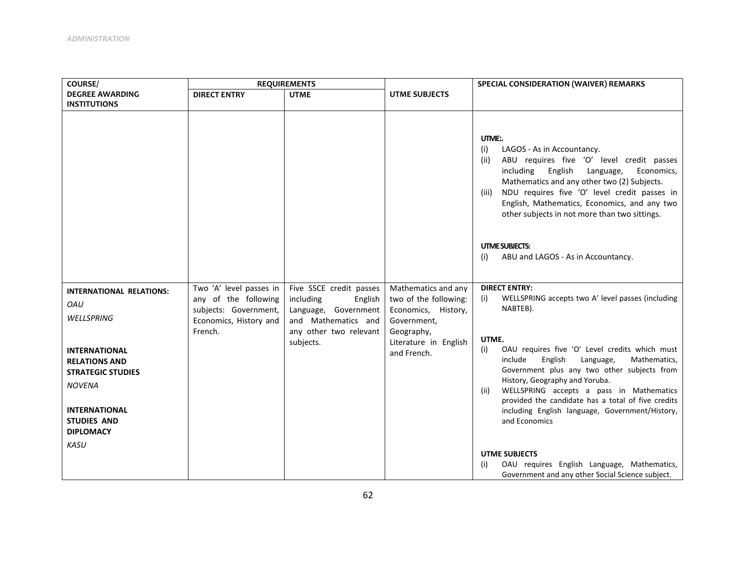| <b>COURSE/</b>                                                                                                                                                                                                                            | <b>REQUIREMENTS</b>                                                                                           |                                                                                                                                       |                                                                                                                                          | SPECIAL CONSIDERATION (WAIVER) REMARKS                                                                                                                                                                                                                                                                                                                                                                                                                                                                   |
|-------------------------------------------------------------------------------------------------------------------------------------------------------------------------------------------------------------------------------------------|---------------------------------------------------------------------------------------------------------------|---------------------------------------------------------------------------------------------------------------------------------------|------------------------------------------------------------------------------------------------------------------------------------------|----------------------------------------------------------------------------------------------------------------------------------------------------------------------------------------------------------------------------------------------------------------------------------------------------------------------------------------------------------------------------------------------------------------------------------------------------------------------------------------------------------|
| <b>DEGREE AWARDING</b>                                                                                                                                                                                                                    | <b>DIRECT ENTRY</b>                                                                                           | <b>UTME</b>                                                                                                                           | UTME SUBJECTS                                                                                                                            |                                                                                                                                                                                                                                                                                                                                                                                                                                                                                                          |
| <b>INSTITUTIONS</b>                                                                                                                                                                                                                       |                                                                                                               |                                                                                                                                       |                                                                                                                                          |                                                                                                                                                                                                                                                                                                                                                                                                                                                                                                          |
|                                                                                                                                                                                                                                           |                                                                                                               |                                                                                                                                       |                                                                                                                                          | UTME:<br>(i)<br>LAGOS - As in Accountancy.<br>ABU requires five 'O' level credit passes<br>(ii)<br>including English<br>Language,<br>Economics,<br>Mathematics and any other two (2) Subjects.<br>NDU requires five 'O' level credit passes in<br>(iii)<br>English, Mathematics, Economics, and any two<br>other subjects in not more than two sittings.<br>UTIME SUBJECTS:<br>(i)<br>ABU and LAGOS - As in Accountancy.                                                                                 |
| <b>INTERNATIONAL RELATIONS:</b><br>OAU<br><b>WELLSPRING</b><br><b>INTERNATIONAL</b><br><b>RELATIONS AND</b><br><b>STRATEGIC STUDIES</b><br><b>NOVENA</b><br><b>INTERNATIONAL</b><br><b>STUDIES AND</b><br><b>DIPLOMACY</b><br><b>KASU</b> | Two 'A' level passes in<br>any of the following<br>subjects: Government,<br>Economics, History and<br>French. | Five SSCE credit passes<br>including<br>English<br>Language, Government<br>and Mathematics and<br>any other two relevant<br>subjects. | Mathematics and any<br>two of the following:<br>Economics, History,<br>Government,<br>Geography,<br>Literature in English<br>and French. | <b>DIRECT ENTRY:</b><br>WELLSPRING accepts two A' level passes (including<br>(i)<br>NABTEB).<br>UTME.<br>OAU requires five 'O' Level credits which must<br>(i)<br>English<br>Language,<br>Mathematics,<br>include<br>Government plus any two other subjects from<br>History, Geography and Yoruba.<br>WELLSPRING accepts a pass in Mathematics<br>(ii)<br>provided the candidate has a total of five credits<br>including English language, Government/History,<br>and Economics<br><b>UTME SUBJECTS</b> |
|                                                                                                                                                                                                                                           |                                                                                                               |                                                                                                                                       |                                                                                                                                          | OAU requires English Language, Mathematics,<br>(i)<br>Government and any other Social Science subject.                                                                                                                                                                                                                                                                                                                                                                                                   |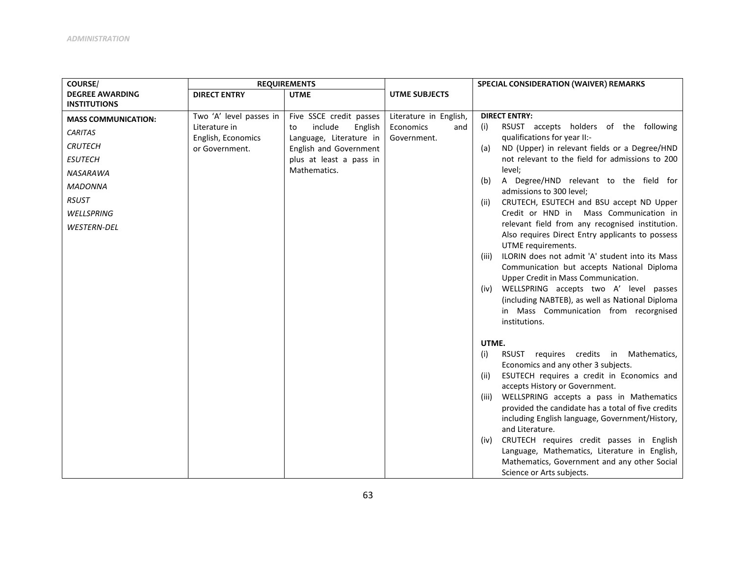| <b>COURSE/</b>             |                                     | <b>REQUIREMENTS</b>                                 |                                 | SPECIAL CONSIDERATION (WAIVER) REMARKS                                              |
|----------------------------|-------------------------------------|-----------------------------------------------------|---------------------------------|-------------------------------------------------------------------------------------|
| <b>DEGREE AWARDING</b>     | <b>DIRECT ENTRY</b>                 | <b>UTME</b>                                         | <b>UTME SUBJECTS</b>            |                                                                                     |
| <b>INSTITUTIONS</b>        |                                     |                                                     |                                 |                                                                                     |
| <b>MASS COMMUNICATION:</b> | Two 'A' level passes in             | Five SSCE credit passes                             | Literature in English,          | <b>DIRECT ENTRY:</b>                                                                |
| <b>CARITAS</b>             | Literature in<br>English, Economics | include<br>English<br>to<br>Language, Literature in | Economics<br>and<br>Government. | RSUST accepts holders of the following<br>(i)<br>qualifications for year II:-       |
| <b>CRUTECH</b>             | or Government.                      | English and Government                              |                                 | ND (Upper) in relevant fields or a Degree/HND<br>(a)                                |
| <b>ESUTECH</b>             |                                     | plus at least a pass in                             |                                 | not relevant to the field for admissions to 200                                     |
| <b>NASARAWA</b>            |                                     | Mathematics.                                        |                                 | level;                                                                              |
| <b>MADONNA</b>             |                                     |                                                     |                                 | A Degree/HND relevant to the field for<br>(b)<br>admissions to 300 level;           |
| <b>RSUST</b>               |                                     |                                                     |                                 | CRUTECH, ESUTECH and BSU accept ND Upper<br>(ii)                                    |
| WELLSPRING                 |                                     |                                                     |                                 | Credit or HND in Mass Communication in                                              |
| <b>WESTERN-DEL</b>         |                                     |                                                     |                                 | relevant field from any recognised institution.                                     |
|                            |                                     |                                                     |                                 | Also requires Direct Entry applicants to possess<br>UTME requirements.              |
|                            |                                     |                                                     |                                 | ILORIN does not admit 'A' student into its Mass<br>(iii)                            |
|                            |                                     |                                                     |                                 | Communication but accepts National Diploma                                          |
|                            |                                     |                                                     |                                 | Upper Credit in Mass Communication.                                                 |
|                            |                                     |                                                     |                                 | WELLSPRING accepts two A' level passes<br>(iv)                                      |
|                            |                                     |                                                     |                                 | (including NABTEB), as well as National Diploma                                     |
|                            |                                     |                                                     |                                 | in Mass Communication from recorgnised<br>institutions.                             |
|                            |                                     |                                                     |                                 |                                                                                     |
|                            |                                     |                                                     |                                 | UTME.                                                                               |
|                            |                                     |                                                     |                                 | RSUST requires credits in Mathematics,<br>(i)                                       |
|                            |                                     |                                                     |                                 | Economics and any other 3 subjects.                                                 |
|                            |                                     |                                                     |                                 | ESUTECH requires a credit in Economics and<br>(ii)                                  |
|                            |                                     |                                                     |                                 | accepts History or Government.<br>WELLSPRING accepts a pass in Mathematics<br>(iii) |
|                            |                                     |                                                     |                                 | provided the candidate has a total of five credits                                  |
|                            |                                     |                                                     |                                 | including English language, Government/History,                                     |
|                            |                                     |                                                     |                                 | and Literature.                                                                     |
|                            |                                     |                                                     |                                 | CRUTECH requires credit passes in English<br>(iv)                                   |
|                            |                                     |                                                     |                                 | Language, Mathematics, Literature in English,                                       |
|                            |                                     |                                                     |                                 | Mathematics, Government and any other Social                                        |
|                            |                                     |                                                     |                                 | Science or Arts subjects.                                                           |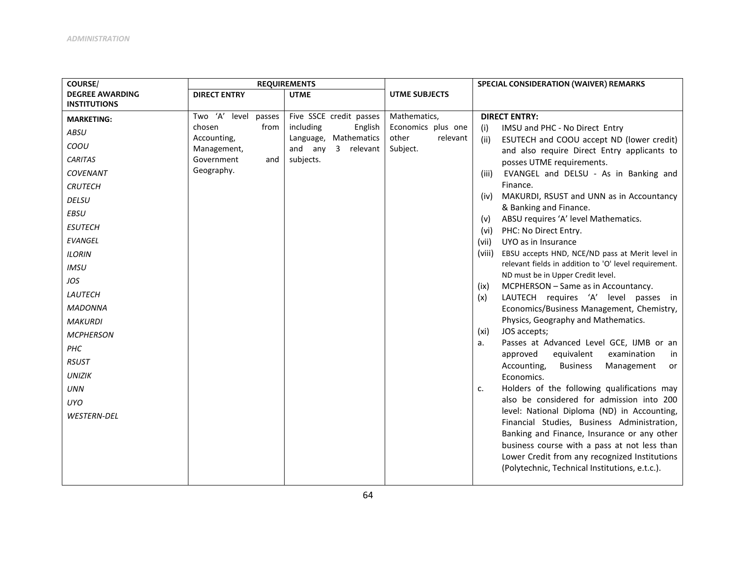| <b>COURSE/</b>         |                            | <b>REQUIREMENTS</b>                            |                             | SPECIAL CONSIDERATION (WAIVER) REMARKS                                                      |
|------------------------|----------------------------|------------------------------------------------|-----------------------------|---------------------------------------------------------------------------------------------|
| <b>DEGREE AWARDING</b> | <b>DIRECT ENTRY</b>        | <b>UTME</b>                                    | <b>UTME SUBJECTS</b>        |                                                                                             |
| <b>INSTITUTIONS</b>    |                            |                                                |                             |                                                                                             |
| <b>MARKETING:</b>      | Two 'A' level passes       | Five SSCE credit passes                        | Mathematics,                | <b>DIRECT ENTRY:</b>                                                                        |
| ABSU                   | chosen<br>from             | including<br>English                           | Economics plus one<br>other | IMSU and PHC - No Direct Entry<br>(i)                                                       |
| COOU                   | Accounting,<br>Management, | Language, Mathematics<br>3 relevant<br>and any | relevant<br>Subject.        | ESUTECH and COOU accept ND (lower credit)<br>(ii)                                           |
| <b>CARITAS</b>         | Government<br>and          | subjects.                                      |                             | and also require Direct Entry applicants to<br>posses UTME requirements.                    |
| COVENANT               | Geography.                 |                                                |                             | EVANGEL and DELSU - As in Banking and<br>(iii)                                              |
| <b>CRUTECH</b>         |                            |                                                |                             | Finance.                                                                                    |
| <b>DELSU</b>           |                            |                                                |                             | MAKURDI, RSUST and UNN as in Accountancy<br>(iv)                                            |
| <b>EBSU</b>            |                            |                                                |                             | & Banking and Finance.                                                                      |
|                        |                            |                                                |                             | ABSU requires 'A' level Mathematics.<br>(v)                                                 |
| <b>ESUTECH</b>         |                            |                                                |                             | PHC: No Direct Entry.<br>(vi)                                                               |
| <b>EVANGEL</b>         |                            |                                                |                             | UYO as in Insurance<br>(vii)                                                                |
| <b>ILORIN</b>          |                            |                                                |                             | EBSU accepts HND, NCE/ND pass at Merit level in<br>(viii)                                   |
| <b>IMSU</b>            |                            |                                                |                             | relevant fields in addition to 'O' level requirement.                                       |
| JOS                    |                            |                                                |                             | ND must be in Upper Credit level.                                                           |
| LAUTECH                |                            |                                                |                             | MCPHERSON - Same as in Accountancy.<br>(ix)<br>LAUTECH requires 'A' level passes in         |
| <b>MADONNA</b>         |                            |                                                |                             | (x)<br>Economics/Business Management, Chemistry,                                            |
| <b>MAKURDI</b>         |                            |                                                |                             | Physics, Geography and Mathematics.                                                         |
|                        |                            |                                                |                             | JOS accepts;<br>(xi)                                                                        |
| <b>MCPHERSON</b>       |                            |                                                |                             | Passes at Advanced Level GCE, IJMB or an<br>a.                                              |
| PHC                    |                            |                                                |                             | approved<br>equivalent<br>examination<br>in                                                 |
| <b>RSUST</b>           |                            |                                                |                             | Accounting,<br><b>Business</b><br>Management<br>or                                          |
| <b>UNIZIK</b>          |                            |                                                |                             | Economics.                                                                                  |
| <b>UNN</b>             |                            |                                                |                             | Holders of the following qualifications may<br>c.                                           |
| <b>UYO</b>             |                            |                                                |                             | also be considered for admission into 200                                                   |
| <b>WESTERN-DEL</b>     |                            |                                                |                             | level: National Diploma (ND) in Accounting,                                                 |
|                        |                            |                                                |                             | Financial Studies, Business Administration,                                                 |
|                        |                            |                                                |                             | Banking and Finance, Insurance or any other<br>business course with a pass at not less than |
|                        |                            |                                                |                             | Lower Credit from any recognized Institutions                                               |
|                        |                            |                                                |                             | (Polytechnic, Technical Institutions, e.t.c.).                                              |
|                        |                            |                                                |                             |                                                                                             |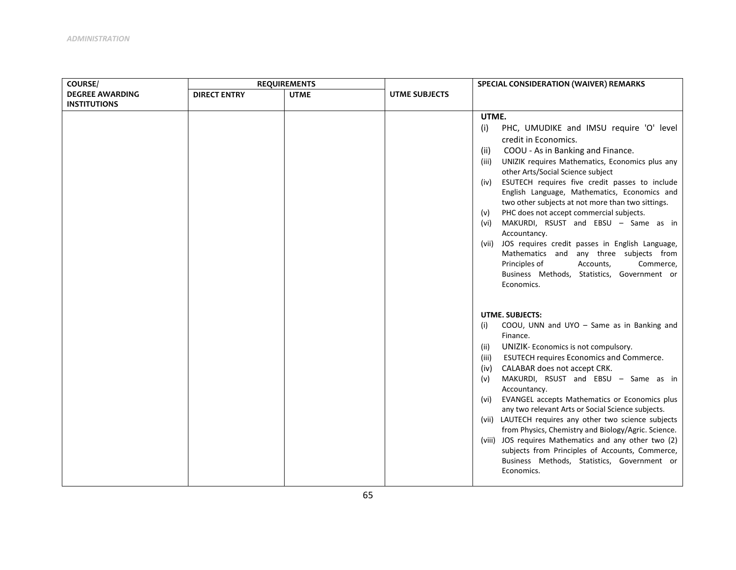| <b>COURSE/</b>         |                     | <b>REQUIREMENTS</b> |               | SPECIAL CONSIDERATION (WAIVER) REMARKS                                                                                                                                                                                                                                                                                                                                                                                                                                                                                                                                                                                                                                                                                         |
|------------------------|---------------------|---------------------|---------------|--------------------------------------------------------------------------------------------------------------------------------------------------------------------------------------------------------------------------------------------------------------------------------------------------------------------------------------------------------------------------------------------------------------------------------------------------------------------------------------------------------------------------------------------------------------------------------------------------------------------------------------------------------------------------------------------------------------------------------|
| <b>DEGREE AWARDING</b> | <b>DIRECT ENTRY</b> | <b>UTME</b>         | UTME SUBJECTS |                                                                                                                                                                                                                                                                                                                                                                                                                                                                                                                                                                                                                                                                                                                                |
| <b>INSTITUTIONS</b>    |                     |                     |               |                                                                                                                                                                                                                                                                                                                                                                                                                                                                                                                                                                                                                                                                                                                                |
|                        |                     |                     |               | UTME.<br>PHC, UMUDIKE and IMSU require 'O' level<br>(i)<br>credit in Economics.<br>COOU - As in Banking and Finance.<br>(ii)<br>UNIZIK requires Mathematics, Economics plus any<br>(iii)<br>other Arts/Social Science subject<br>ESUTECH requires five credit passes to include<br>(iv)<br>English Language, Mathematics, Economics and<br>two other subjects at not more than two sittings.<br>PHC does not accept commercial subjects.<br>(v)<br>MAKURDI, RSUST and EBSU - Same as in<br>(vi)<br>Accountancy.<br>JOS requires credit passes in English Language,<br>(vii)<br>Mathematics and any three subjects from<br>Principles of<br>Accounts,<br>Commerce,<br>Business Methods, Statistics, Government or<br>Economics. |
|                        |                     |                     |               | UTME. SUBJECTS:<br>COOU, UNN and UYO - Same as in Banking and<br>(i)<br>Finance.<br>UNIZIK- Economics is not compulsory.<br>(ii)<br><b>ESUTECH requires Economics and Commerce.</b><br>(iii)<br>CALABAR does not accept CRK.<br>(iv)<br>MAKURDI, RSUST and EBSU - Same as in<br>(v)<br>Accountancy.<br>EVANGEL accepts Mathematics or Economics plus<br>(vi)<br>any two relevant Arts or Social Science subjects.<br>(vii) LAUTECH requires any other two science subjects<br>from Physics, Chemistry and Biology/Agric. Science.<br>(viii) JOS requires Mathematics and any other two (2)<br>subjects from Principles of Accounts, Commerce,<br>Business Methods, Statistics, Government or<br>Economics.                     |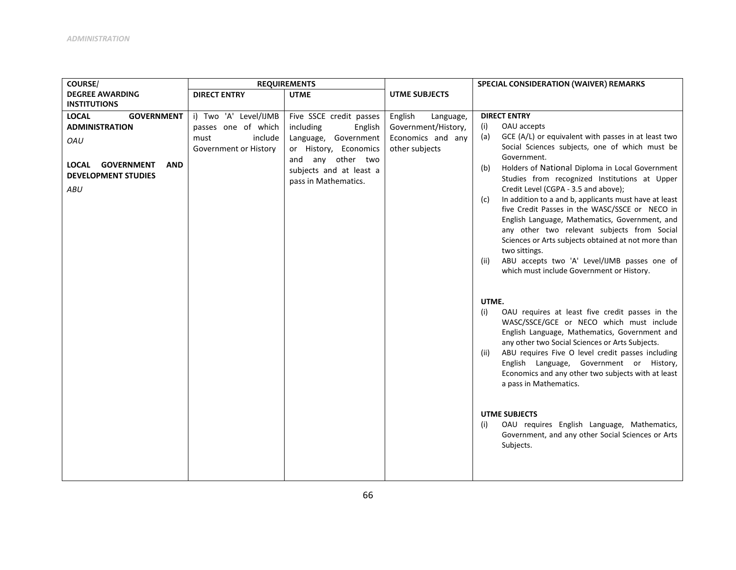| <b>COURSE/</b>                                                                                                                                            |                                                                                          | <b>REQUIREMENTS</b>                                                                                                                                                      |                                                                                    | SPECIAL CONSIDERATION (WAIVER) REMARKS                                                                                                                                                                                                                                                                                                                                                                                                                                                                                                                                                                                                                                                                                      |
|-----------------------------------------------------------------------------------------------------------------------------------------------------------|------------------------------------------------------------------------------------------|--------------------------------------------------------------------------------------------------------------------------------------------------------------------------|------------------------------------------------------------------------------------|-----------------------------------------------------------------------------------------------------------------------------------------------------------------------------------------------------------------------------------------------------------------------------------------------------------------------------------------------------------------------------------------------------------------------------------------------------------------------------------------------------------------------------------------------------------------------------------------------------------------------------------------------------------------------------------------------------------------------------|
| <b>DEGREE AWARDING</b>                                                                                                                                    | <b>DIRECT ENTRY</b>                                                                      | <b>UTME</b>                                                                                                                                                              | <b>UTME SUBJECTS</b>                                                               |                                                                                                                                                                                                                                                                                                                                                                                                                                                                                                                                                                                                                                                                                                                             |
| <b>INSTITUTIONS</b>                                                                                                                                       |                                                                                          |                                                                                                                                                                          |                                                                                    |                                                                                                                                                                                                                                                                                                                                                                                                                                                                                                                                                                                                                                                                                                                             |
| <b>LOCAL</b><br><b>GOVERNMENT</b><br><b>ADMINISTRATION</b><br>OAU<br><b>GOVERNMENT</b><br><b>AND</b><br>LOCAL<br><b>DEVELOPMENT STUDIES</b><br><b>ABU</b> | i) Two 'A' Level/IJMB<br>passes one of which<br>include<br>must<br>Government or History | Five SSCE credit passes<br>including<br>English<br>Language, Government<br>or History, Economics<br>and any other two<br>subjects and at least a<br>pass in Mathematics. | English<br>Language,<br>Government/History,<br>Economics and any<br>other subjects | <b>DIRECT ENTRY</b><br>OAU accepts<br>(i)<br>GCE (A/L) or equivalent with passes in at least two<br>(a)<br>Social Sciences subjects, one of which must be<br>Government.<br>Holders of National Diploma in Local Government<br>(b)<br>Studies from recognized Institutions at Upper<br>Credit Level (CGPA - 3.5 and above);<br>In addition to a and b, applicants must have at least<br>(c)<br>five Credit Passes in the WASC/SSCE or NECO in<br>English Language, Mathematics, Government, and<br>any other two relevant subjects from Social<br>Sciences or Arts subjects obtained at not more than<br>two sittings.<br>ABU accepts two 'A' Level/IJMB passes one of<br>(ii)<br>which must include Government or History. |
|                                                                                                                                                           |                                                                                          |                                                                                                                                                                          |                                                                                    | UTME.<br>OAU requires at least five credit passes in the<br>(i)<br>WASC/SSCE/GCE or NECO which must include<br>English Language, Mathematics, Government and<br>any other two Social Sciences or Arts Subjects.<br>ABU requires Five O level credit passes including<br>(ii)<br>English Language, Government or History,<br>Economics and any other two subjects with at least<br>a pass in Mathematics.<br><b>UTME SUBJECTS</b><br>OAU requires English Language, Mathematics,<br>(i)<br>Government, and any other Social Sciences or Arts<br>Subjects.                                                                                                                                                                    |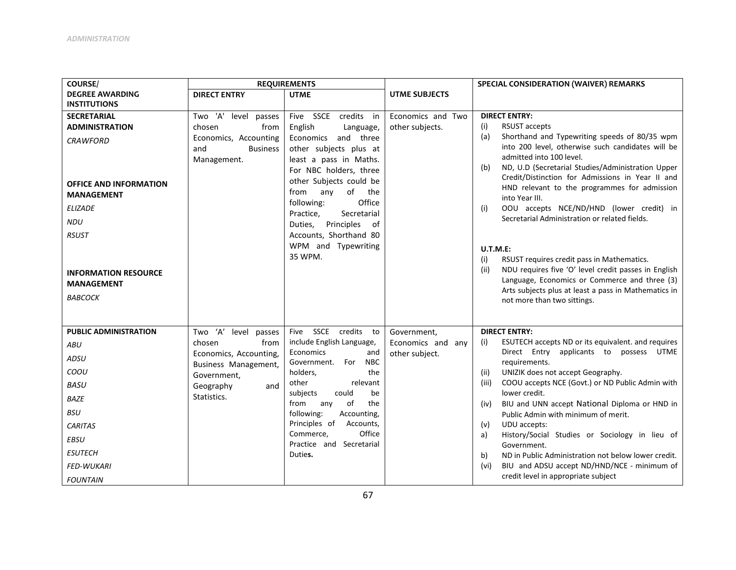| <b>COURSE/</b>                | <b>REQUIREMENTS</b>                            |                                                      |                   | SPECIAL CONSIDERATION (WAIVER) REMARKS                                                                    |
|-------------------------------|------------------------------------------------|------------------------------------------------------|-------------------|-----------------------------------------------------------------------------------------------------------|
| <b>DEGREE AWARDING</b>        | <b>DIRECT ENTRY</b>                            | <b>UTME</b>                                          | UTME SUBJECTS     |                                                                                                           |
| <b>INSTITUTIONS</b>           |                                                |                                                      |                   |                                                                                                           |
| <b>SECRETARIAL</b>            | Two 'A'<br>level passes                        | Five SSCE credits in                                 | Economics and Two | <b>DIRECT ENTRY:</b>                                                                                      |
| <b>ADMINISTRATION</b>         | chosen<br>from                                 | English<br>Language,                                 | other subjects.   | <b>RSUST accepts</b><br>(i)                                                                               |
| <b>CRAWFORD</b>               | Economics, Accounting                          | Economics and three                                  |                   | Shorthand and Typewriting speeds of 80/35 wpm<br>(a)<br>into 200 level, otherwise such candidates will be |
|                               | <b>Business</b><br>and<br>Management.          | other subjects plus at<br>least a pass in Maths.     |                   | admitted into 100 level.                                                                                  |
|                               |                                                | For NBC holders, three                               |                   | ND, U.D (Secretarial Studies/Administration Upper<br>(b)                                                  |
| <b>OFFICE AND INFORMATION</b> |                                                | other Subjects could be                              |                   | Credit/Distinction for Admissions in Year II and                                                          |
| <b>MANAGEMENT</b>             |                                                | of the<br>from<br>any                                |                   | HND relevant to the programmes for admission<br>into Year III.                                            |
| <b>ELIZADE</b>                |                                                | Office<br>following:<br>Practice,<br>Secretarial     |                   | OOU accepts NCE/ND/HND (lower credit) in<br>(i)                                                           |
| <b>NDU</b>                    |                                                | Duties, Principles<br>of                             |                   | Secretarial Administration or related fields.                                                             |
| <b>RSUST</b>                  |                                                | Accounts, Shorthand 80                               |                   |                                                                                                           |
|                               |                                                | WPM and Typewriting                                  |                   | U.T.M.E:                                                                                                  |
|                               |                                                | 35 WPM.                                              |                   | (i)<br>RSUST requires credit pass in Mathematics.                                                         |
| <b>INFORMATION RESOURCE</b>   |                                                |                                                      |                   | NDU requires five 'O' level credit passes in English<br>(ii)                                              |
| <b>MANAGEMENT</b>             |                                                |                                                      |                   | Language, Economics or Commerce and three (3)<br>Arts subjects plus at least a pass in Mathematics in     |
| <b>BABCOCK</b>                |                                                |                                                      |                   | not more than two sittings.                                                                               |
|                               |                                                |                                                      |                   |                                                                                                           |
|                               |                                                |                                                      |                   |                                                                                                           |
| <b>PUBLIC ADMINISTRATION</b>  | Two 'A'<br>level passes                        | SSCE credits to<br>Five                              | Government.       | <b>DIRECT ENTRY:</b>                                                                                      |
| <b>ABU</b>                    | chosen<br>from                                 | include English Language,                            | Economics and any | (i)<br>ESUTECH accepts ND or its equivalent. and requires                                                 |
| <b>ADSU</b>                   | Economics, Accounting,<br>Business Management, | Economics<br>and<br>Government.<br>For<br><b>NBC</b> | other subject.    | Direct Entry applicants to possess UTME<br>requirements.                                                  |
| COOU                          | Government,                                    | holders,<br>the                                      |                   | UNIZIK does not accept Geography.<br>(ii)                                                                 |
| <b>BASU</b>                   | Geography<br>and                               | other<br>relevant                                    |                   | COOU accepts NCE (Govt.) or ND Public Admin with<br>(iii)                                                 |
| <b>BAZE</b>                   | Statistics.                                    | could<br>subjects<br>be<br>of<br>the<br>from<br>any  |                   | lower credit.<br>BIU and UNN accept National Diploma or HND in<br>(iv)                                    |
| <b>BSU</b>                    |                                                | following:<br>Accounting,                            |                   | Public Admin with minimum of merit.                                                                       |
| <b>CARITAS</b>                |                                                | Principles of<br>Accounts,                           |                   | (v)<br>UDU accepts:                                                                                       |
| EBSU                          |                                                | Office<br>Commerce,<br>Practice and Secretarial      |                   | History/Social Studies or Sociology in lieu of<br>a)<br>Government.                                       |
| <b>ESUTECH</b>                |                                                | Duties.                                              |                   | ND in Public Administration not below lower credit.<br>b)                                                 |
| FED-WUKARI                    |                                                |                                                      |                   | BIU and ADSU accept ND/HND/NCE - minimum of<br>(vi)                                                       |
| <b>FOUNTAIN</b>               |                                                |                                                      |                   | credit level in appropriate subject                                                                       |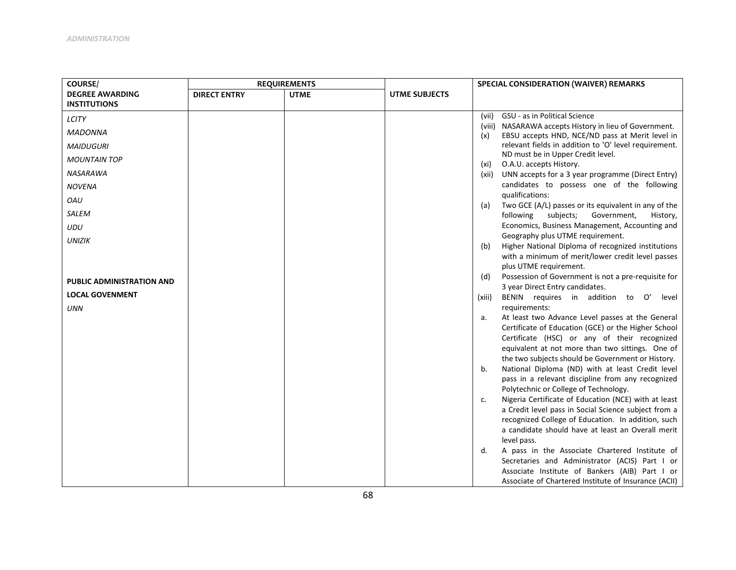| <b>COURSE/</b>                       |                     | <b>REQUIREMENTS</b> |                      | SPECIAL CONSIDERATION (WAIVER) REMARKS                                                                           |
|--------------------------------------|---------------------|---------------------|----------------------|------------------------------------------------------------------------------------------------------------------|
| <b>DEGREE AWARDING</b>               | <b>DIRECT ENTRY</b> | <b>UTME</b>         | <b>UTME SUBJECTS</b> |                                                                                                                  |
| <b>INSTITUTIONS</b>                  |                     |                     |                      |                                                                                                                  |
| LCITY                                |                     |                     |                      | GSU - as in Political Science<br>(vii)                                                                           |
| <b>MADONNA</b>                       |                     |                     |                      | (viii) NASARAWA accepts History in lieu of Government.<br>EBSU accepts HND, NCE/ND pass at Merit level in<br>(x) |
| <b>MAIDUGURI</b>                     |                     |                     |                      | relevant fields in addition to 'O' level requirement.                                                            |
| <b>MOUNTAIN TOP</b>                  |                     |                     |                      | ND must be in Upper Credit level.<br>O.A.U. accepts History.<br>(xi)                                             |
| NASARAWA                             |                     |                     |                      | UNN accepts for a 3 year programme (Direct Entry)<br>(xii)                                                       |
| <b>NOVENA</b>                        |                     |                     |                      | candidates to possess one of the following                                                                       |
| OAU                                  |                     |                     |                      | qualifications:<br>Two GCE (A/L) passes or its equivalent in any of the<br>(a)                                   |
| SALEM                                |                     |                     |                      | subjects;<br>Government,<br>History,<br>following                                                                |
| <b>UDU</b>                           |                     |                     |                      | Economics, Business Management, Accounting and                                                                   |
| <b>UNIZIK</b>                        |                     |                     |                      | Geography plus UTME requirement.                                                                                 |
|                                      |                     |                     |                      | Higher National Diploma of recognized institutions<br>(b)<br>with a minimum of merit/lower credit level passes   |
|                                      |                     |                     |                      | plus UTME requirement.                                                                                           |
| PUBLIC ADMINISTRATION AND            |                     |                     |                      | Possession of Government is not a pre-requisite for<br>(d)                                                       |
|                                      |                     |                     |                      | 3 year Direct Entry candidates.                                                                                  |
| <b>LOCAL GOVENMENT</b><br><b>UNN</b> |                     |                     |                      | BENIN requires in addition to O'<br>(xiii)<br>level<br>requirements:                                             |
|                                      |                     |                     |                      | At least two Advance Level passes at the General<br>a.                                                           |
|                                      |                     |                     |                      | Certificate of Education (GCE) or the Higher School                                                              |
|                                      |                     |                     |                      | Certificate (HSC) or any of their recognized                                                                     |
|                                      |                     |                     |                      | equivalent at not more than two sittings. One of                                                                 |
|                                      |                     |                     |                      | the two subjects should be Government or History.                                                                |
|                                      |                     |                     |                      | National Diploma (ND) with at least Credit level<br>b.<br>pass in a relevant discipline from any recognized      |
|                                      |                     |                     |                      | Polytechnic or College of Technology.                                                                            |
|                                      |                     |                     |                      | Nigeria Certificate of Education (NCE) with at least<br>c.                                                       |
|                                      |                     |                     |                      | a Credit level pass in Social Science subject from a                                                             |
|                                      |                     |                     |                      | recognized College of Education. In addition, such                                                               |
|                                      |                     |                     |                      | a candidate should have at least an Overall merit                                                                |
|                                      |                     |                     |                      | level pass.<br>A pass in the Associate Chartered Institute of<br>d.                                              |
|                                      |                     |                     |                      | Secretaries and Administrator (ACIS) Part I or                                                                   |
|                                      |                     |                     |                      | Associate Institute of Bankers (AIB) Part I or                                                                   |
|                                      |                     |                     |                      | Associate of Chartered Institute of Insurance (ACII)                                                             |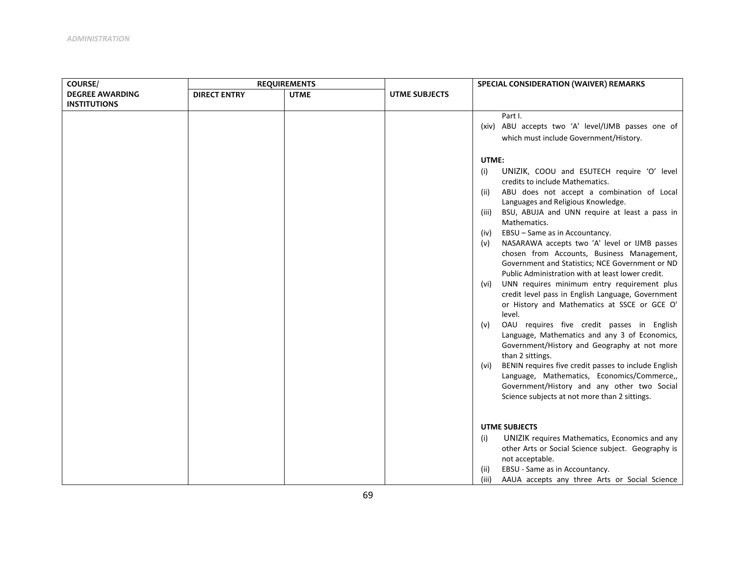| <b>COURSE/</b>         | <b>REQUIREMENTS</b> |             |                      | SPECIAL CONSIDERATION (WAIVER) REMARKS                                                                                                                                                                                                                                                                                                                                                                                                                                                                                                                                                                                                                                                                                                                                                                                                                                                                                                                                                                                                                                                                                                               |
|------------------------|---------------------|-------------|----------------------|------------------------------------------------------------------------------------------------------------------------------------------------------------------------------------------------------------------------------------------------------------------------------------------------------------------------------------------------------------------------------------------------------------------------------------------------------------------------------------------------------------------------------------------------------------------------------------------------------------------------------------------------------------------------------------------------------------------------------------------------------------------------------------------------------------------------------------------------------------------------------------------------------------------------------------------------------------------------------------------------------------------------------------------------------------------------------------------------------------------------------------------------------|
| <b>DEGREE AWARDING</b> | <b>DIRECT ENTRY</b> | <b>UTME</b> | <b>UTME SUBJECTS</b> |                                                                                                                                                                                                                                                                                                                                                                                                                                                                                                                                                                                                                                                                                                                                                                                                                                                                                                                                                                                                                                                                                                                                                      |
| <b>INSTITUTIONS</b>    |                     |             |                      |                                                                                                                                                                                                                                                                                                                                                                                                                                                                                                                                                                                                                                                                                                                                                                                                                                                                                                                                                                                                                                                                                                                                                      |
|                        |                     |             |                      | Part I.<br>(xiv) ABU accepts two 'A' level/IJMB passes one of<br>which must include Government/History.<br>UTME:<br>UNIZIK, COOU and ESUTECH require 'O' level<br>(i)<br>credits to include Mathematics.<br>ABU does not accept a combination of Local<br>(ii)<br>Languages and Religious Knowledge.<br>BSU, ABUJA and UNN require at least a pass in<br>(iii)<br>Mathematics.<br>EBSU - Same as in Accountancy.<br>(iv)<br>NASARAWA accepts two 'A' level or IJMB passes<br>(v)<br>chosen from Accounts, Business Management,<br>Government and Statistics; NCE Government or ND<br>Public Administration with at least lower credit.<br>UNN requires minimum entry requirement plus<br>(vi)<br>credit level pass in English Language, Government<br>or History and Mathematics at SSCE or GCE O'<br>level.<br>OAU requires five credit passes in English<br>(v)<br>Language, Mathematics and any 3 of Economics,<br>Government/History and Geography at not more<br>than 2 sittings.<br>BENIN requires five credit passes to include English<br>(vi)<br>Language, Mathematics, Economics/Commerce,,<br>Government/History and any other two Social |
|                        |                     |             |                      | Science subjects at not more than 2 sittings.                                                                                                                                                                                                                                                                                                                                                                                                                                                                                                                                                                                                                                                                                                                                                                                                                                                                                                                                                                                                                                                                                                        |
|                        |                     |             |                      | <b>UTME SUBJECTS</b><br>UNIZIK requires Mathematics, Economics and any<br>(i)                                                                                                                                                                                                                                                                                                                                                                                                                                                                                                                                                                                                                                                                                                                                                                                                                                                                                                                                                                                                                                                                        |
|                        |                     |             |                      | other Arts or Social Science subject. Geography is<br>not acceptable.                                                                                                                                                                                                                                                                                                                                                                                                                                                                                                                                                                                                                                                                                                                                                                                                                                                                                                                                                                                                                                                                                |
|                        |                     |             |                      | EBSU - Same as in Accountancy.<br>(ii)<br>(iii)<br>AAUA accepts any three Arts or Social Science                                                                                                                                                                                                                                                                                                                                                                                                                                                                                                                                                                                                                                                                                                                                                                                                                                                                                                                                                                                                                                                     |